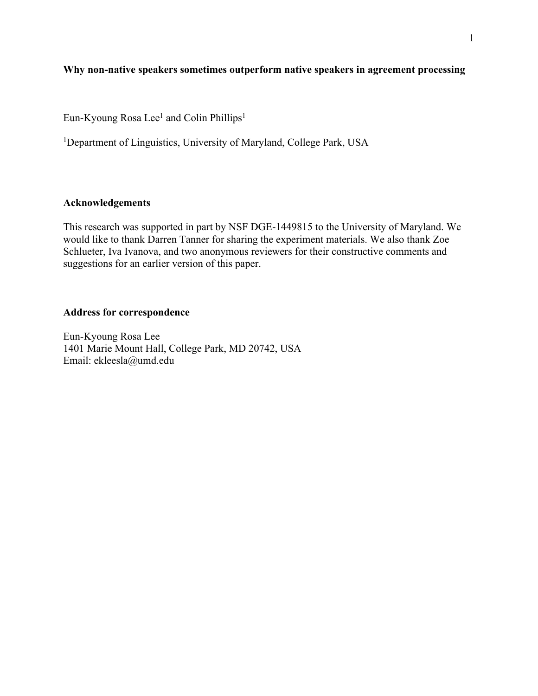# **Why non-native speakers sometimes outperform native speakers in agreement processing**

Eun-Kyoung Rosa Lee<sup>1</sup> and Colin Phillips<sup>1</sup>

<sup>1</sup>Department of Linguistics, University of Maryland, College Park, USA

## **Acknowledgements**

This research was supported in part by NSF DGE-1449815 to the University of Maryland. We would like to thank Darren Tanner for sharing the experiment materials. We also thank Zoe Schlueter, Iva Ivanova, and two anonymous reviewers for their constructive comments and suggestions for an earlier version of this paper.

### **Address for correspondence**

Eun-Kyoung Rosa Lee 1401 Marie Mount Hall, College Park, MD 20742, USA Email: ekleesla@umd.edu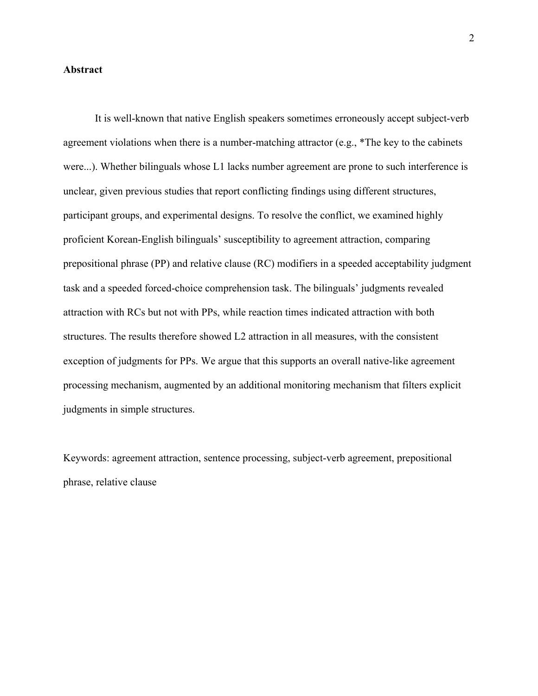#### **Abstract**

 It is well-known that native English speakers sometimes erroneously accept subject-verb agreement violations when there is a number-matching attractor (e.g., \*The key to the cabinets were...). Whether bilinguals whose L1 lacks number agreement are prone to such interference is unclear, given previous studies that report conflicting findings using different structures, participant groups, and experimental designs. To resolve the conflict, we examined highly proficient Korean-English bilinguals' susceptibility to agreement attraction, comparing prepositional phrase (PP) and relative clause (RC) modifiers in a speeded acceptability judgment task and a speeded forced-choice comprehension task. The bilinguals' judgments revealed attraction with RCs but not with PPs, while reaction times indicated attraction with both structures. The results therefore showed L2 attraction in all measures, with the consistent exception of judgments for PPs. We argue that this supports an overall native-like agreement processing mechanism, augmented by an additional monitoring mechanism that filters explicit judgments in simple structures.

Keywords: agreement attraction, sentence processing, subject-verb agreement, prepositional phrase, relative clause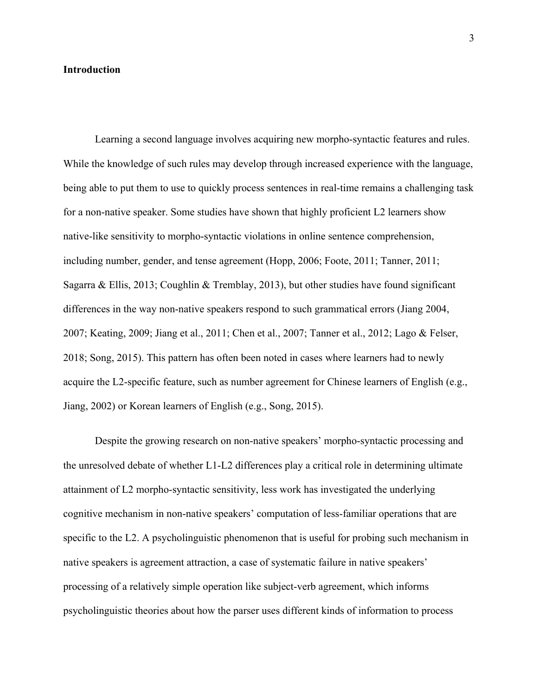#### **Introduction**

Learning a second language involves acquiring new morpho-syntactic features and rules. While the knowledge of such rules may develop through increased experience with the language, being able to put them to use to quickly process sentences in real-time remains a challenging task for a non-native speaker. Some studies have shown that highly proficient L2 learners show native-like sensitivity to morpho-syntactic violations in online sentence comprehension, including number, gender, and tense agreement (Hopp, 2006; Foote, 2011; Tanner, 2011; Sagarra & Ellis, 2013; Coughlin & Tremblay, 2013), but other studies have found significant differences in the way non-native speakers respond to such grammatical errors (Jiang 2004, 2007; Keating, 2009; Jiang et al., 2011; Chen et al., 2007; Tanner et al., 2012; Lago & Felser, 2018; Song, 2015). This pattern has often been noted in cases where learners had to newly acquire the L2-specific feature, such as number agreement for Chinese learners of English (e.g., Jiang, 2002) or Korean learners of English (e.g., Song, 2015).

Despite the growing research on non-native speakers' morpho-syntactic processing and the unresolved debate of whether L1-L2 differences play a critical role in determining ultimate attainment of L2 morpho-syntactic sensitivity, less work has investigated the underlying cognitive mechanism in non-native speakers' computation of less-familiar operations that are specific to the L2. A psycholinguistic phenomenon that is useful for probing such mechanism in native speakers is agreement attraction, a case of systematic failure in native speakers' processing of a relatively simple operation like subject-verb agreement, which informs psycholinguistic theories about how the parser uses different kinds of information to process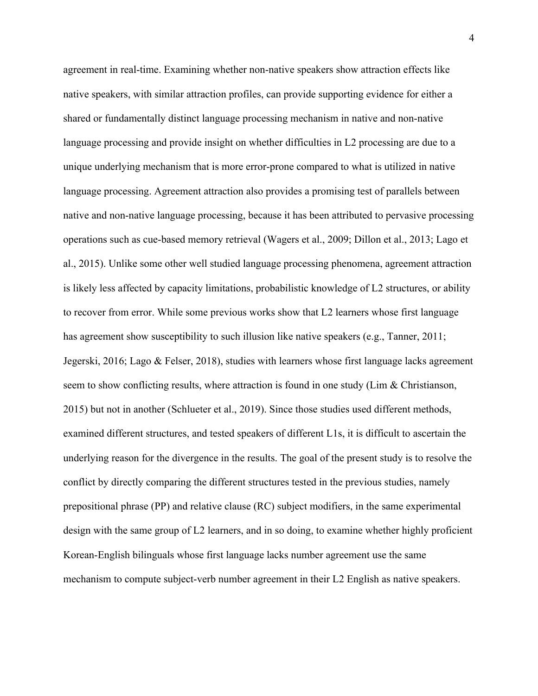agreement in real-time. Examining whether non-native speakers show attraction effects like native speakers, with similar attraction profiles, can provide supporting evidence for either a shared or fundamentally distinct language processing mechanism in native and non-native language processing and provide insight on whether difficulties in L2 processing are due to a unique underlying mechanism that is more error-prone compared to what is utilized in native language processing. Agreement attraction also provides a promising test of parallels between native and non-native language processing, because it has been attributed to pervasive processing operations such as cue-based memory retrieval (Wagers et al., 2009; Dillon et al., 2013; Lago et al., 2015). Unlike some other well studied language processing phenomena, agreement attraction is likely less affected by capacity limitations, probabilistic knowledge of L2 structures, or ability to recover from error. While some previous works show that L2 learners whose first language has agreement show susceptibility to such illusion like native speakers (e.g., Tanner, 2011; Jegerski, 2016; Lago & Felser, 2018), studies with learners whose first language lacks agreement seem to show conflicting results, where attraction is found in one study (Lim  $\&$  Christianson, 2015) but not in another (Schlueter et al., 2019). Since those studies used different methods, examined different structures, and tested speakers of different L1s, it is difficult to ascertain the underlying reason for the divergence in the results. The goal of the present study is to resolve the conflict by directly comparing the different structures tested in the previous studies, namely prepositional phrase (PP) and relative clause (RC) subject modifiers, in the same experimental design with the same group of L2 learners, and in so doing, to examine whether highly proficient Korean-English bilinguals whose first language lacks number agreement use the same mechanism to compute subject-verb number agreement in their L2 English as native speakers.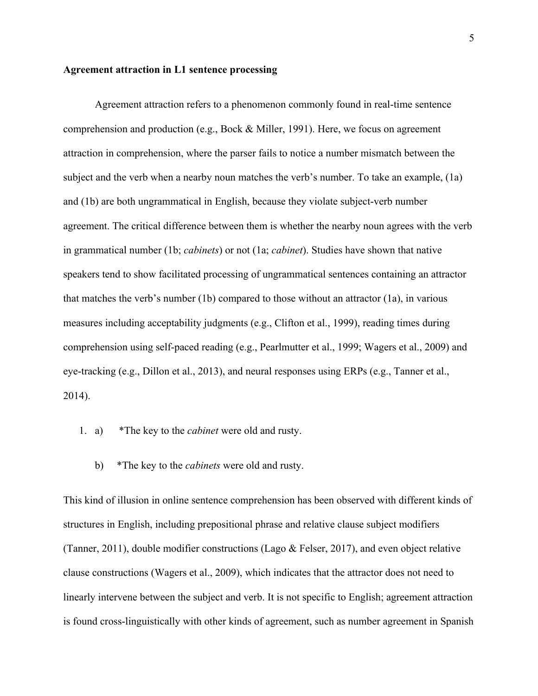#### **Agreement attraction in L1 sentence processing**

Agreement attraction refers to a phenomenon commonly found in real-time sentence comprehension and production (e.g., Bock & Miller, 1991). Here, we focus on agreement attraction in comprehension, where the parser fails to notice a number mismatch between the subject and the verb when a nearby noun matches the verb's number. To take an example, (1a) and (1b) are both ungrammatical in English, because they violate subject-verb number agreement. The critical difference between them is whether the nearby noun agrees with the verb in grammatical number (1b; *cabinets*) or not (1a; *cabinet*). Studies have shown that native speakers tend to show facilitated processing of ungrammatical sentences containing an attractor that matches the verb's number (1b) compared to those without an attractor (1a), in various measures including acceptability judgments (e.g., Clifton et al., 1999), reading times during comprehension using self-paced reading (e.g., Pearlmutter et al., 1999; Wagers et al., 2009) and eye-tracking (e.g., Dillon et al., 2013), and neural responses using ERPs (e.g., Tanner et al., 2014).

- 1. a) \*The key to the *cabinet* were old and rusty.
	- b) \*The key to the *cabinets* were old and rusty.

This kind of illusion in online sentence comprehension has been observed with different kinds of structures in English, including prepositional phrase and relative clause subject modifiers (Tanner, 2011), double modifier constructions (Lago & Felser, 2017), and even object relative clause constructions (Wagers et al., 2009), which indicates that the attractor does not need to linearly intervene between the subject and verb. It is not specific to English; agreement attraction is found cross-linguistically with other kinds of agreement, such as number agreement in Spanish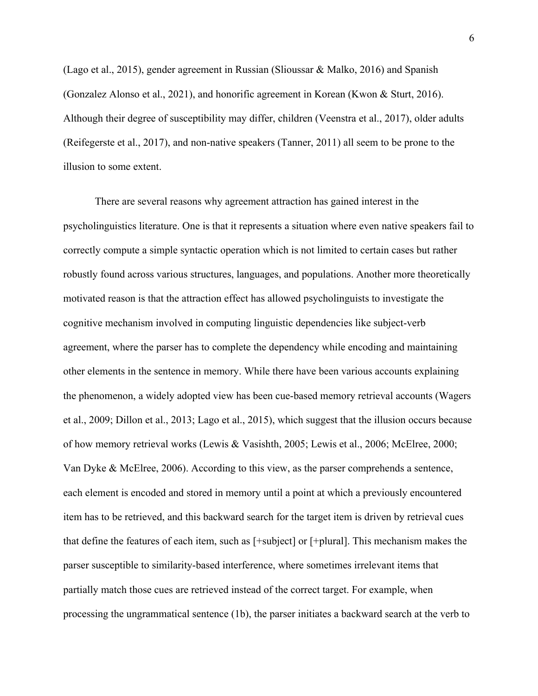(Lago et al., 2015), gender agreement in Russian (Slioussar & Malko, 2016) and Spanish (Gonzalez Alonso et al., 2021), and honorific agreement in Korean (Kwon & Sturt, 2016). Although their degree of susceptibility may differ, children (Veenstra et al., 2017), older adults (Reifegerste et al., 2017), and non-native speakers (Tanner, 2011) all seem to be prone to the illusion to some extent.

There are several reasons why agreement attraction has gained interest in the psycholinguistics literature. One is that it represents a situation where even native speakers fail to correctly compute a simple syntactic operation which is not limited to certain cases but rather robustly found across various structures, languages, and populations. Another more theoretically motivated reason is that the attraction effect has allowed psycholinguists to investigate the cognitive mechanism involved in computing linguistic dependencies like subject-verb agreement, where the parser has to complete the dependency while encoding and maintaining other elements in the sentence in memory. While there have been various accounts explaining the phenomenon, a widely adopted view has been cue-based memory retrieval accounts (Wagers et al., 2009; Dillon et al., 2013; Lago et al., 2015), which suggest that the illusion occurs because of how memory retrieval works (Lewis & Vasishth, 2005; Lewis et al., 2006; McElree, 2000; Van Dyke & McElree, 2006). According to this view, as the parser comprehends a sentence, each element is encoded and stored in memory until a point at which a previously encountered item has to be retrieved, and this backward search for the target item is driven by retrieval cues that define the features of each item, such as [+subject] or [+plural]. This mechanism makes the parser susceptible to similarity-based interference, where sometimes irrelevant items that partially match those cues are retrieved instead of the correct target. For example, when processing the ungrammatical sentence (1b), the parser initiates a backward search at the verb to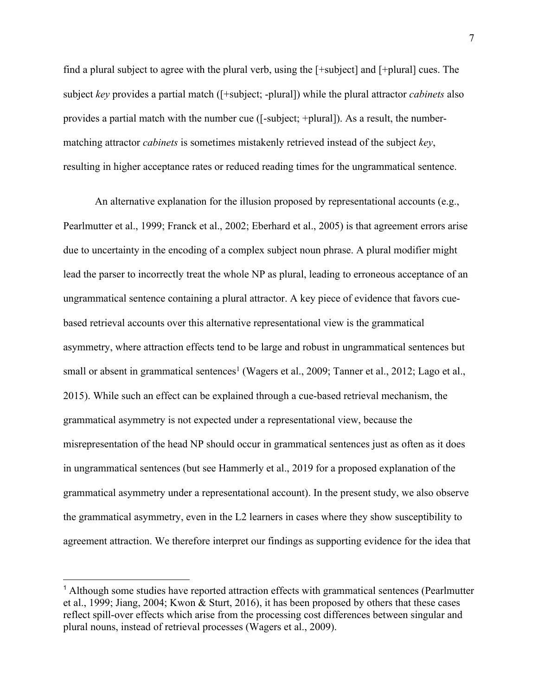find a plural subject to agree with the plural verb, using the [+subject] and [+plural] cues. The subject *key* provides a partial match ([+subject; -plural]) while the plural attractor *cabinets* also provides a partial match with the number cue ([-subject; +plural]). As a result, the numbermatching attractor *cabinets* is sometimes mistakenly retrieved instead of the subject *key*, resulting in higher acceptance rates or reduced reading times for the ungrammatical sentence.

An alternative explanation for the illusion proposed by representational accounts (e.g., Pearlmutter et al., 1999; Franck et al., 2002; Eberhard et al., 2005) is that agreement errors arise due to uncertainty in the encoding of a complex subject noun phrase. A plural modifier might lead the parser to incorrectly treat the whole NP as plural, leading to erroneous acceptance of an ungrammatical sentence containing a plural attractor. A key piece of evidence that favors cuebased retrieval accounts over this alternative representational view is the grammatical asymmetry, where attraction effects tend to be large and robust in ungrammatical sentences but small or absent in grammatical sentences<sup>1</sup> (Wagers et al., 2009; Tanner et al., 2012; Lago et al., 2015). While such an effect can be explained through a cue-based retrieval mechanism, the grammatical asymmetry is not expected under a representational view, because the misrepresentation of the head NP should occur in grammatical sentences just as often as it does in ungrammatical sentences (but see Hammerly et al., 2019 for a proposed explanation of the grammatical asymmetry under a representational account). In the present study, we also observe the grammatical asymmetry, even in the L2 learners in cases where they show susceptibility to agreement attraction. We therefore interpret our findings as supporting evidence for the idea that

<sup>&</sup>lt;sup>1</sup> Although some studies have reported attraction effects with grammatical sentences (Pearlmutter et al., 1999; Jiang, 2004; Kwon & Sturt, 2016), it has been proposed by others that these cases reflect spill-over effects which arise from the processing cost differences between singular and plural nouns, instead of retrieval processes (Wagers et al., 2009).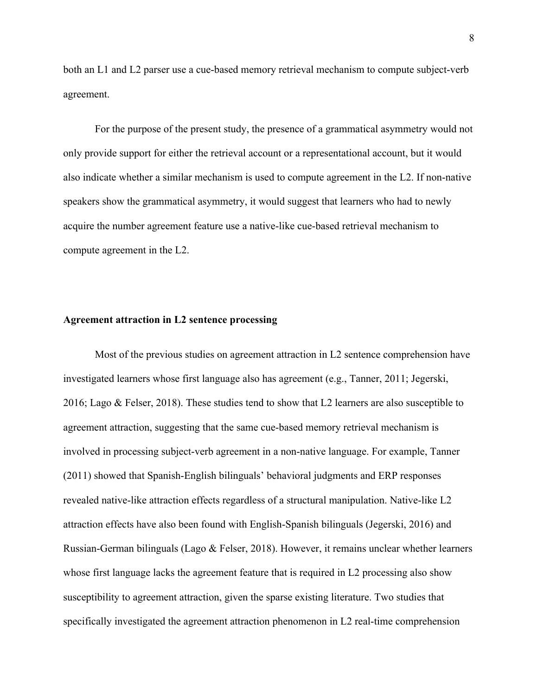both an L1 and L2 parser use a cue-based memory retrieval mechanism to compute subject-verb agreement.

For the purpose of the present study, the presence of a grammatical asymmetry would not only provide support for either the retrieval account or a representational account, but it would also indicate whether a similar mechanism is used to compute agreement in the L2. If non-native speakers show the grammatical asymmetry, it would suggest that learners who had to newly acquire the number agreement feature use a native-like cue-based retrieval mechanism to compute agreement in the L2.

#### **Agreement attraction in L2 sentence processing**

Most of the previous studies on agreement attraction in L2 sentence comprehension have investigated learners whose first language also has agreement (e.g., Tanner, 2011; Jegerski, 2016; Lago & Felser, 2018). These studies tend to show that L2 learners are also susceptible to agreement attraction, suggesting that the same cue-based memory retrieval mechanism is involved in processing subject-verb agreement in a non-native language. For example, Tanner (2011) showed that Spanish-English bilinguals' behavioral judgments and ERP responses revealed native-like attraction effects regardless of a structural manipulation. Native-like L2 attraction effects have also been found with English-Spanish bilinguals (Jegerski, 2016) and Russian-German bilinguals (Lago & Felser, 2018). However, it remains unclear whether learners whose first language lacks the agreement feature that is required in L2 processing also show susceptibility to agreement attraction, given the sparse existing literature. Two studies that specifically investigated the agreement attraction phenomenon in L2 real-time comprehension

8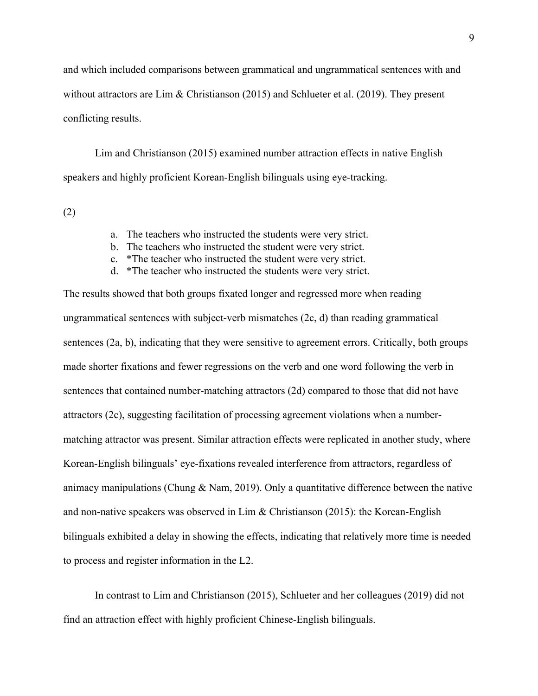and which included comparisons between grammatical and ungrammatical sentences with and without attractors are Lim & Christianson (2015) and Schlueter et al. (2019). They present conflicting results.

Lim and Christianson (2015) examined number attraction effects in native English speakers and highly proficient Korean-English bilinguals using eye-tracking.

(2)

- a. The teachers who instructed the students were very strict.
- b. The teachers who instructed the student were very strict.
- c. \*The teacher who instructed the student were very strict.
- d. \*The teacher who instructed the students were very strict.

The results showed that both groups fixated longer and regressed more when reading ungrammatical sentences with subject-verb mismatches (2c, d) than reading grammatical sentences (2a, b), indicating that they were sensitive to agreement errors. Critically, both groups made shorter fixations and fewer regressions on the verb and one word following the verb in sentences that contained number-matching attractors (2d) compared to those that did not have attractors (2c), suggesting facilitation of processing agreement violations when a numbermatching attractor was present. Similar attraction effects were replicated in another study, where Korean-English bilinguals' eye-fixations revealed interference from attractors, regardless of animacy manipulations (Chung & Nam, 2019). Only a quantitative difference between the native and non-native speakers was observed in Lim & Christianson (2015): the Korean-English bilinguals exhibited a delay in showing the effects, indicating that relatively more time is needed to process and register information in the L2.

In contrast to Lim and Christianson (2015), Schlueter and her colleagues (2019) did not find an attraction effect with highly proficient Chinese-English bilinguals.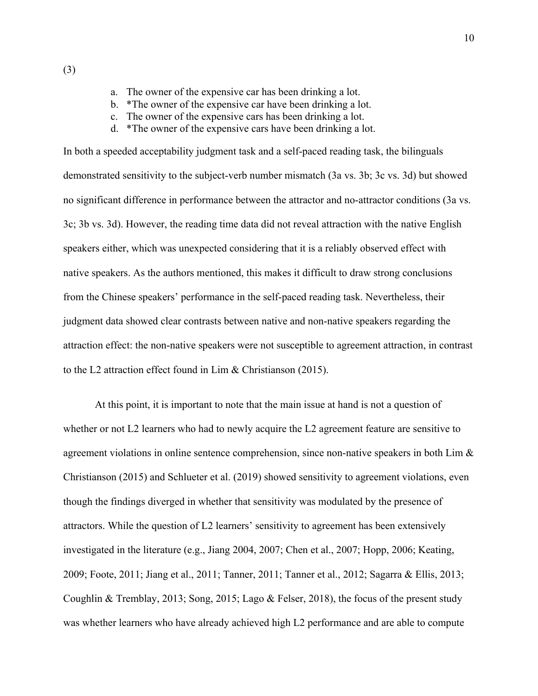a. The owner of the expensive car has been drinking a lot.

- b. \*The owner of the expensive car have been drinking a lot.
- c. The owner of the expensive cars has been drinking a lot.
- d. \*The owner of the expensive cars have been drinking a lot.

In both a speeded acceptability judgment task and a self-paced reading task, the bilinguals demonstrated sensitivity to the subject-verb number mismatch (3a vs. 3b; 3c vs. 3d) but showed no significant difference in performance between the attractor and no-attractor conditions (3a vs. 3c; 3b vs. 3d). However, the reading time data did not reveal attraction with the native English speakers either, which was unexpected considering that it is a reliably observed effect with native speakers. As the authors mentioned, this makes it difficult to draw strong conclusions from the Chinese speakers' performance in the self-paced reading task. Nevertheless, their judgment data showed clear contrasts between native and non-native speakers regarding the attraction effect: the non-native speakers were not susceptible to agreement attraction, in contrast to the L2 attraction effect found in Lim & Christianson (2015).

At this point, it is important to note that the main issue at hand is not a question of whether or not L2 learners who had to newly acquire the L2 agreement feature are sensitive to agreement violations in online sentence comprehension, since non-native speakers in both Lim & Christianson (2015) and Schlueter et al. (2019) showed sensitivity to agreement violations, even though the findings diverged in whether that sensitivity was modulated by the presence of attractors. While the question of L2 learners' sensitivity to agreement has been extensively investigated in the literature (e.g., Jiang 2004, 2007; Chen et al., 2007; Hopp, 2006; Keating, 2009; Foote, 2011; Jiang et al., 2011; Tanner, 2011; Tanner et al., 2012; Sagarra & Ellis, 2013; Coughlin & Tremblay, 2013; Song, 2015; Lago & Felser, 2018), the focus of the present study was whether learners who have already achieved high L2 performance and are able to compute

(3)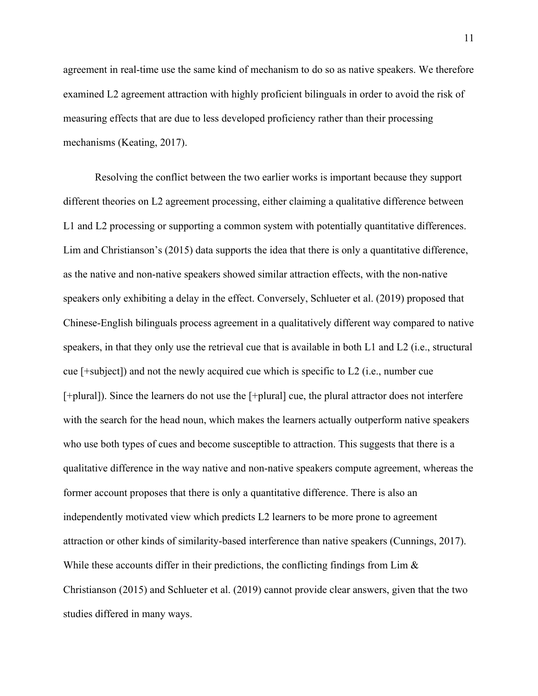agreement in real-time use the same kind of mechanism to do so as native speakers. We therefore examined L2 agreement attraction with highly proficient bilinguals in order to avoid the risk of measuring effects that are due to less developed proficiency rather than their processing mechanisms (Keating, 2017).

Resolving the conflict between the two earlier works is important because they support different theories on L2 agreement processing, either claiming a qualitative difference between L1 and L2 processing or supporting a common system with potentially quantitative differences. Lim and Christianson's (2015) data supports the idea that there is only a quantitative difference, as the native and non-native speakers showed similar attraction effects, with the non-native speakers only exhibiting a delay in the effect. Conversely, Schlueter et al. (2019) proposed that Chinese-English bilinguals process agreement in a qualitatively different way compared to native speakers, in that they only use the retrieval cue that is available in both L1 and L2 (i.e., structural cue [+subject]) and not the newly acquired cue which is specific to L2 (i.e., number cue [+plural]). Since the learners do not use the [+plural] cue, the plural attractor does not interfere with the search for the head noun, which makes the learners actually outperform native speakers who use both types of cues and become susceptible to attraction. This suggests that there is a qualitative difference in the way native and non-native speakers compute agreement, whereas the former account proposes that there is only a quantitative difference. There is also an independently motivated view which predicts L2 learners to be more prone to agreement attraction or other kinds of similarity-based interference than native speakers (Cunnings, 2017). While these accounts differ in their predictions, the conflicting findings from Lim & Christianson (2015) and Schlueter et al. (2019) cannot provide clear answers, given that the two studies differed in many ways.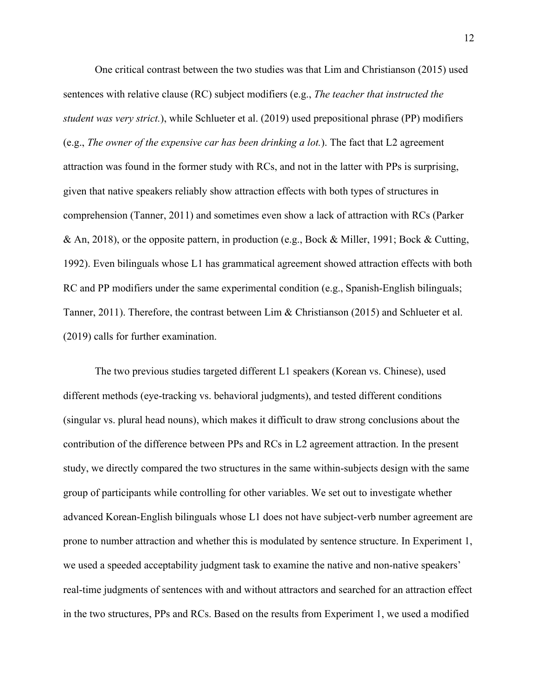One critical contrast between the two studies was that Lim and Christianson (2015) used sentences with relative clause (RC) subject modifiers (e.g., *The teacher that instructed the student was very strict.*), while Schlueter et al. (2019) used prepositional phrase (PP) modifiers (e.g., *The owner of the expensive car has been drinking a lot.*). The fact that L2 agreement attraction was found in the former study with RCs, and not in the latter with PPs is surprising, given that native speakers reliably show attraction effects with both types of structures in comprehension (Tanner, 2011) and sometimes even show a lack of attraction with RCs (Parker & An, 2018), or the opposite pattern, in production (e.g., Bock & Miller, 1991; Bock & Cutting, 1992). Even bilinguals whose L1 has grammatical agreement showed attraction effects with both RC and PP modifiers under the same experimental condition (e.g., Spanish-English bilinguals; Tanner, 2011). Therefore, the contrast between Lim & Christianson (2015) and Schlueter et al. (2019) calls for further examination.

The two previous studies targeted different L1 speakers (Korean vs. Chinese), used different methods (eye-tracking vs. behavioral judgments), and tested different conditions (singular vs. plural head nouns), which makes it difficult to draw strong conclusions about the contribution of the difference between PPs and RCs in L2 agreement attraction. In the present study, we directly compared the two structures in the same within-subjects design with the same group of participants while controlling for other variables. We set out to investigate whether advanced Korean-English bilinguals whose L1 does not have subject-verb number agreement are prone to number attraction and whether this is modulated by sentence structure. In Experiment 1, we used a speeded acceptability judgment task to examine the native and non-native speakers' real-time judgments of sentences with and without attractors and searched for an attraction effect in the two structures, PPs and RCs. Based on the results from Experiment 1, we used a modified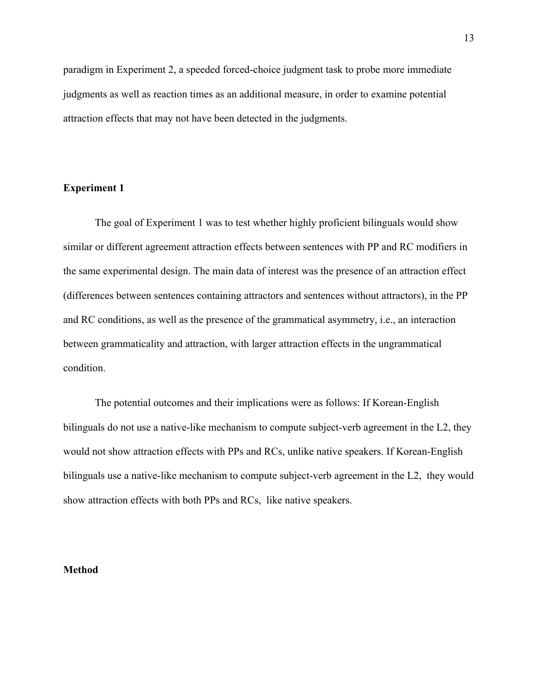paradigm in Experiment 2, a speeded forced-choice judgment task to probe more immediate judgments as well as reaction times as an additional measure, in order to examine potential attraction effects that may not have been detected in the judgments.

### **Experiment 1**

The goal of Experiment 1 was to test whether highly proficient bilinguals would show similar or different agreement attraction effects between sentences with PP and RC modifiers in the same experimental design. The main data of interest was the presence of an attraction effect (differences between sentences containing attractors and sentences without attractors), in the PP and RC conditions, as well as the presence of the grammatical asymmetry, i.e., an interaction between grammaticality and attraction, with larger attraction effects in the ungrammatical condition.

The potential outcomes and their implications were as follows: If Korean-English bilinguals do not use a native-like mechanism to compute subject-verb agreement in the L2, they would not show attraction effects with PPs and RCs, unlike native speakers. If Korean-English bilinguals use a native-like mechanism to compute subject-verb agreement in the L2, they would show attraction effects with both PPs and RCs, like native speakers.

#### **Method**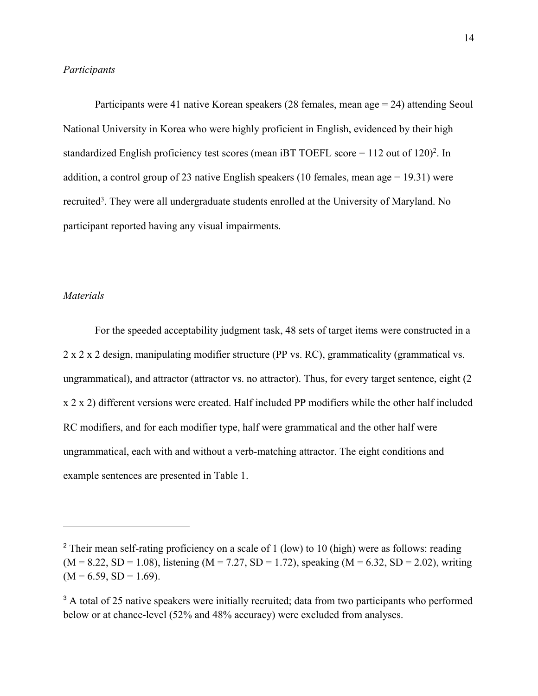#### *Participants*

Participants were 41 native Korean speakers (28 females, mean age = 24) attending Seoul National University in Korea who were highly proficient in English, evidenced by their high standardized English proficiency test scores (mean iBT TOEFL score  $= 112$  out of  $120$ )<sup>2</sup>. In addition, a control group of 23 native English speakers (10 females, mean age = 19.31) were recruited<sup>3</sup>. They were all undergraduate students enrolled at the University of Maryland. No participant reported having any visual impairments.

#### *Materials*

For the speeded acceptability judgment task, 48 sets of target items were constructed in a 2 x 2 x 2 design, manipulating modifier structure (PP vs. RC), grammaticality (grammatical vs. ungrammatical), and attractor (attractor vs. no attractor). Thus, for every target sentence, eight (2 x 2 x 2) different versions were created. Half included PP modifiers while the other half included RC modifiers, and for each modifier type, half were grammatical and the other half were ungrammatical, each with and without a verb-matching attractor. The eight conditions and example sentences are presented in Table 1.

<sup>&</sup>lt;sup>2</sup> Their mean self-rating proficiency on a scale of 1 (low) to 10 (high) were as follows: reading  $(M = 8.22, SD = 1.08)$ , listening  $(M = 7.27, SD = 1.72)$ , speaking  $(M = 6.32, SD = 2.02)$ , writing  $(M = 6.59, SD = 1.69).$ 

<sup>&</sup>lt;sup>3</sup> A total of 25 native speakers were initially recruited; data from two participants who performed below or at chance-level (52% and 48% accuracy) were excluded from analyses.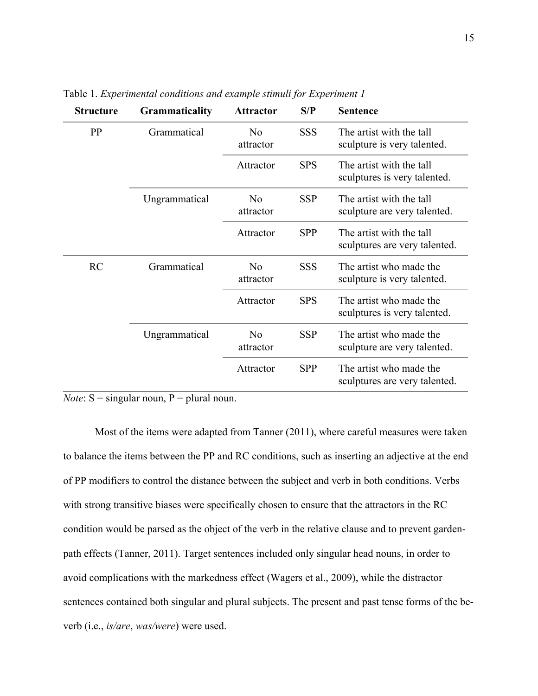| <b>Structure</b> | <b>Grammaticality</b> | <b>Attractor</b>            | S/P        | <b>Sentence</b>                                           |
|------------------|-----------------------|-----------------------------|------------|-----------------------------------------------------------|
| PP               | Grammatical           | No<br>attractor             | <b>SSS</b> | The artist with the tall<br>sculpture is very talented.   |
|                  |                       | Attractor                   | <b>SPS</b> | The artist with the tall<br>sculptures is very talented.  |
|                  | Ungrammatical         | N <sub>0</sub><br>attractor | <b>SSP</b> | The artist with the tall<br>sculpture are very talented.  |
|                  |                       | Attractor                   | <b>SPP</b> | The artist with the tall<br>sculptures are very talented. |
| RC               | Grammatical           | $\rm No$<br>attractor       | <b>SSS</b> | The artist who made the<br>sculpture is very talented.    |
|                  |                       | Attractor                   | <b>SPS</b> | The artist who made the<br>sculptures is very talented.   |
|                  | Ungrammatical         | N <sub>o</sub><br>attractor | <b>SSP</b> | The artist who made the<br>sculpture are very talented.   |
|                  |                       | Attractor                   | <b>SPP</b> | The artist who made the<br>sculptures are very talented.  |

Table 1. *Experimental conditions and example stimuli for Experiment 1*

*Note*:  $S =$  singular noun,  $P =$  plural noun.

Most of the items were adapted from Tanner (2011), where careful measures were taken to balance the items between the PP and RC conditions, such as inserting an adjective at the end of PP modifiers to control the distance between the subject and verb in both conditions. Verbs with strong transitive biases were specifically chosen to ensure that the attractors in the RC condition would be parsed as the object of the verb in the relative clause and to prevent gardenpath effects (Tanner, 2011). Target sentences included only singular head nouns, in order to avoid complications with the markedness effect (Wagers et al., 2009), while the distractor sentences contained both singular and plural subjects. The present and past tense forms of the beverb (i.e., *is/are*, *was/were*) were used.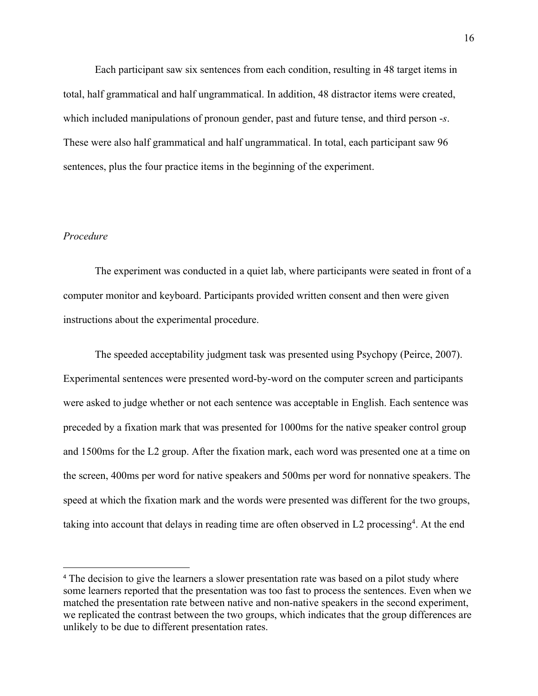Each participant saw six sentences from each condition, resulting in 48 target items in total, half grammatical and half ungrammatical. In addition, 48 distractor items were created, which included manipulations of pronoun gender, past and future tense, and third person -*s*. These were also half grammatical and half ungrammatical. In total, each participant saw 96 sentences, plus the four practice items in the beginning of the experiment.

#### *Procedure*

The experiment was conducted in a quiet lab, where participants were seated in front of a computer monitor and keyboard. Participants provided written consent and then were given instructions about the experimental procedure.

The speeded acceptability judgment task was presented using Psychopy (Peirce, 2007). Experimental sentences were presented word-by-word on the computer screen and participants were asked to judge whether or not each sentence was acceptable in English. Each sentence was preceded by a fixation mark that was presented for 1000ms for the native speaker control group and 1500ms for the L2 group. After the fixation mark, each word was presented one at a time on the screen, 400ms per word for native speakers and 500ms per word for nonnative speakers. The speed at which the fixation mark and the words were presented was different for the two groups, taking into account that delays in reading time are often observed in L2 processing<sup>4</sup>. At the end

<sup>4</sup> The decision to give the learners a slower presentation rate was based on a pilot study where some learners reported that the presentation was too fast to process the sentences. Even when we matched the presentation rate between native and non-native speakers in the second experiment, we replicated the contrast between the two groups, which indicates that the group differences are unlikely to be due to different presentation rates.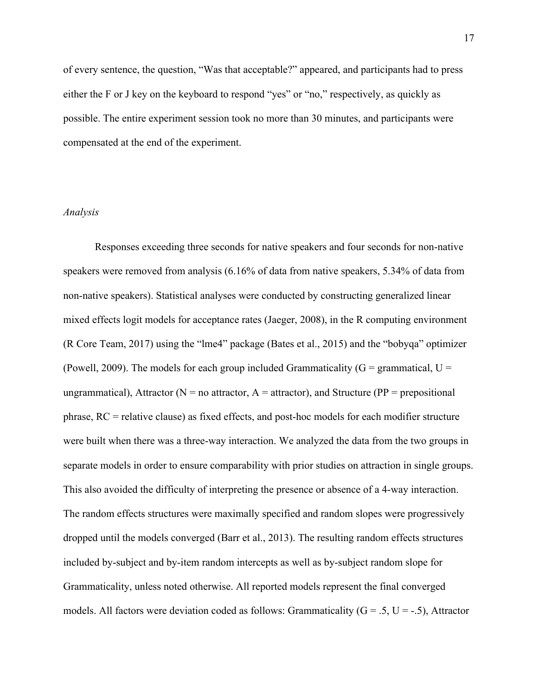of every sentence, the question, "Was that acceptable?" appeared, and participants had to press either the F or J key on the keyboard to respond "yes" or "no," respectively, as quickly as possible. The entire experiment session took no more than 30 minutes, and participants were compensated at the end of the experiment.

### *Analysis*

Responses exceeding three seconds for native speakers and four seconds for non-native speakers were removed from analysis (6.16% of data from native speakers, 5.34% of data from non-native speakers). Statistical analyses were conducted by constructing generalized linear mixed effects logit models for acceptance rates (Jaeger, 2008), in the R computing environment (R Core Team, 2017) using the "lme4" package (Bates et al., 2015) and the "bobyqa" optimizer (Powell, 2009). The models for each group included Grammaticality ( $G =$  grammatical,  $U =$ ungrammatical), Attractor ( $N =$  no attractor,  $A =$  attractor), and Structure ( $PP =$  prepositional phrase, RC = relative clause) as fixed effects, and post-hoc models for each modifier structure were built when there was a three-way interaction. We analyzed the data from the two groups in separate models in order to ensure comparability with prior studies on attraction in single groups. This also avoided the difficulty of interpreting the presence or absence of a 4-way interaction. The random effects structures were maximally specified and random slopes were progressively dropped until the models converged (Barr et al., 2013). The resulting random effects structures included by-subject and by-item random intercepts as well as by-subject random slope for Grammaticality, unless noted otherwise. All reported models represent the final converged models. All factors were deviation coded as follows: Grammaticality  $(G = .5, U = -.5)$ , Attractor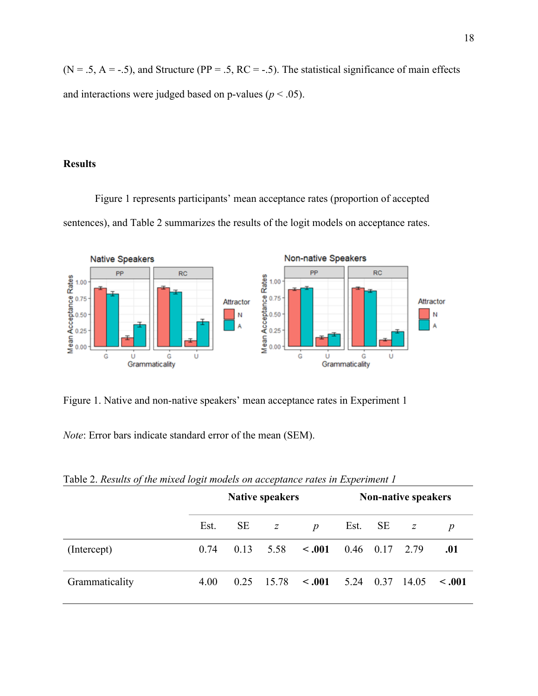$(N = .5, A = .5)$ , and Structure (PP = .5, RC = -.5). The statistical significance of main effects and interactions were judged based on p-values ( $p < .05$ ).

### **Results**

Figure 1 represents participants' mean acceptance rates (proportion of accepted sentences), and Table 2 summarizes the results of the logit models on acceptance rates.



Figure 1. Native and non-native speakers' mean acceptance rates in Experiment 1

*Note*: Error bars indicate standard error of the mean (SEM).

|                | <b>Native speakers</b> |      |              |                              | <b>Non-native speakers</b> |             |  |                  |
|----------------|------------------------|------|--------------|------------------------------|----------------------------|-------------|--|------------------|
|                | Est.                   |      | $SE \t z$    | $\boldsymbol{p}$             |                            | Est. SE $z$ |  | $\boldsymbol{p}$ |
| (Intercept)    | 0.74                   | 0.13 |              | $5.58 \cdot <.001$           | $0.46$ $0.17$ 2.79         |             |  | .01              |
| Grammaticality | 4.00                   |      | $0.25$ 15.78 | $\leq 0.001$ 5.24 0.37 14.05 |                            |             |  | $\leq .001$      |

Table 2. *Results of the mixed logit models on acceptance rates in Experiment 1*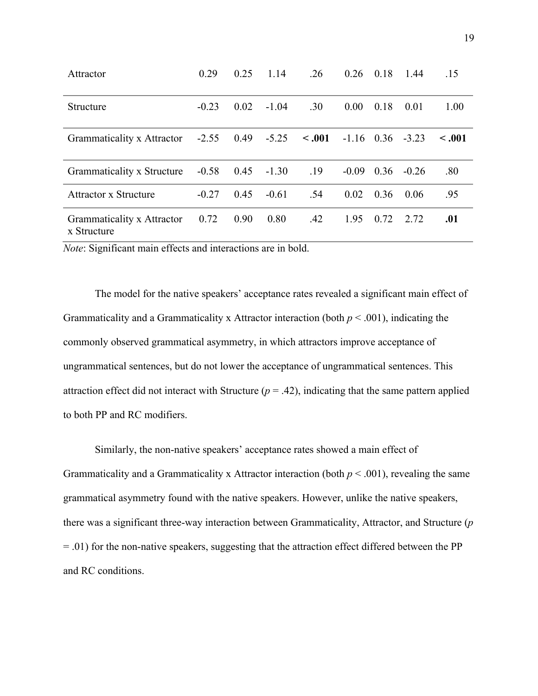| Attractor                                 | 0.29    | 0.25 | 1.14    | .26         | 0.26           | 0.18 | 1.44    | .15         |
|-------------------------------------------|---------|------|---------|-------------|----------------|------|---------|-------------|
| <b>Structure</b>                          | $-0.23$ | 0.02 | $-1.04$ | .30         | $0.00^{\circ}$ | 0.18 | 0.01    | 1.00        |
| Grammaticality x Attractor                | $-2.55$ | 0.49 | $-5.25$ | $\leq .001$ | $-1.16$ 0.36   |      | $-3.23$ | $\leq .001$ |
| Grammaticality x Structure                | $-0.58$ | 0.45 | $-1.30$ | .19         | $-0.09$        | 0.36 | $-0.26$ | .80         |
| Attractor x Structure                     | $-0.27$ | 0.45 | $-0.61$ | .54         | 0.02           | 0.36 | 0.06    | .95         |
| Grammaticality x Attractor<br>x Structure | 0.72    | 0.90 | 0.80    | .42         | 1.95           | 0.72 | 2.72    | .01         |

*Note*: Significant main effects and interactions are in bold.

 The model for the native speakers' acceptance rates revealed a significant main effect of Grammaticality and a Grammaticality x Attractor interaction (both *p* < .001), indicating the commonly observed grammatical asymmetry, in which attractors improve acceptance of ungrammatical sentences, but do not lower the acceptance of ungrammatical sentences. This attraction effect did not interact with Structure  $(p = .42)$ , indicating that the same pattern applied to both PP and RC modifiers.

 Similarly, the non-native speakers' acceptance rates showed a main effect of Grammaticality and a Grammaticality x Attractor interaction (both *p* < .001), revealing the same grammatical asymmetry found with the native speakers. However, unlike the native speakers, there was a significant three-way interaction between Grammaticality, Attractor, and Structure (*p* = .01) for the non-native speakers, suggesting that the attraction effect differed between the PP and RC conditions.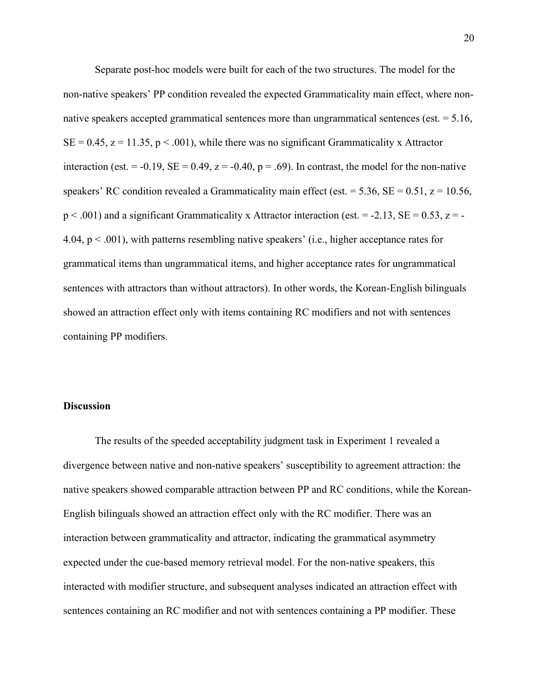Separate post-hoc models were built for each of the two structures. The model for the non-native speakers' PP condition revealed the expected Grammaticality main effect, where nonnative speakers accepted grammatical sentences more than ungrammatical sentences (est. = 5.16,  $SE = 0.45$ ,  $z = 11.35$ ,  $p < .001$ ), while there was no significant Grammaticality x Attractor interaction (est. = -0.19,  $SE = 0.49$ ,  $z = -0.40$ ,  $p = .69$ ). In contrast, the model for the non-native speakers' RC condition revealed a Grammaticality main effect (est. = 5.36,  $SE = 0.51$ ,  $z = 10.56$ ,  $p < .001$ ) and a significant Grammaticality x Attractor interaction (est. = -2.13, SE = 0.53, z = -4.04,  $p < .001$ ), with patterns resembling native speakers' (i.e., higher acceptance rates for grammatical items than ungrammatical items, and higher acceptance rates for ungrammatical sentences with attractors than without attractors). In other words, the Korean-English bilinguals showed an attraction effect only with items containing RC modifiers and not with sentences containing PP modifiers.

# **Discussion**

The results of the speeded acceptability judgment task in Experiment 1 revealed a divergence between native and non-native speakers' susceptibility to agreement attraction: the native speakers showed comparable attraction between PP and RC conditions, while the Korean-English bilinguals showed an attraction effect only with the RC modifier. There was an interaction between grammaticality and attractor, indicating the grammatical asymmetry expected under the cue-based memory retrieval model. For the non-native speakers, this interacted with modifier structure, and subsequent analyses indicated an attraction effect with sentences containing an RC modifier and not with sentences containing a PP modifier. These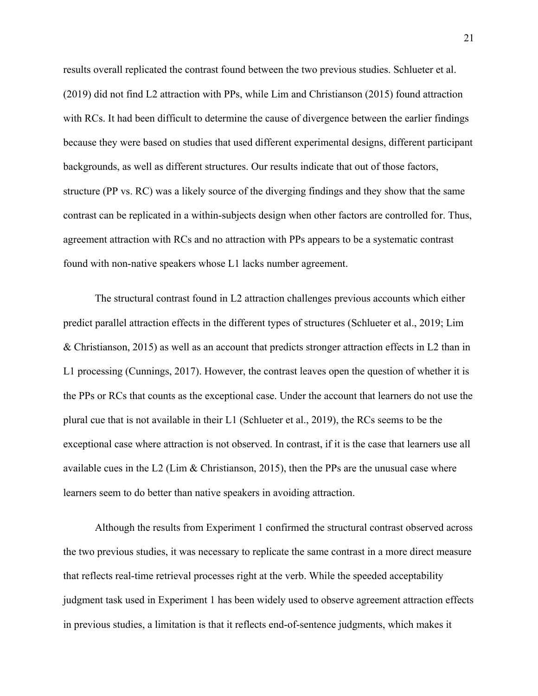results overall replicated the contrast found between the two previous studies. Schlueter et al. (2019) did not find L2 attraction with PPs, while Lim and Christianson (2015) found attraction with RCs. It had been difficult to determine the cause of divergence between the earlier findings because they were based on studies that used different experimental designs, different participant backgrounds, as well as different structures. Our results indicate that out of those factors, structure (PP vs. RC) was a likely source of the diverging findings and they show that the same contrast can be replicated in a within-subjects design when other factors are controlled for. Thus, agreement attraction with RCs and no attraction with PPs appears to be a systematic contrast found with non-native speakers whose L1 lacks number agreement.

The structural contrast found in L2 attraction challenges previous accounts which either predict parallel attraction effects in the different types of structures (Schlueter et al., 2019; Lim & Christianson, 2015) as well as an account that predicts stronger attraction effects in L2 than in L1 processing (Cunnings, 2017). However, the contrast leaves open the question of whether it is the PPs or RCs that counts as the exceptional case. Under the account that learners do not use the plural cue that is not available in their L1 (Schlueter et al., 2019), the RCs seems to be the exceptional case where attraction is not observed. In contrast, if it is the case that learners use all available cues in the L2 (Lim & Christianson, 2015), then the PPs are the unusual case where learners seem to do better than native speakers in avoiding attraction.

Although the results from Experiment 1 confirmed the structural contrast observed across the two previous studies, it was necessary to replicate the same contrast in a more direct measure that reflects real-time retrieval processes right at the verb. While the speeded acceptability judgment task used in Experiment 1 has been widely used to observe agreement attraction effects in previous studies, a limitation is that it reflects end-of-sentence judgments, which makes it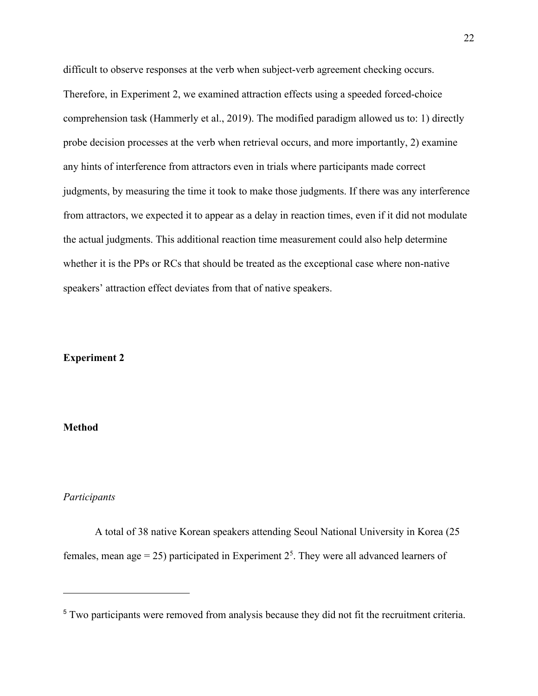difficult to observe responses at the verb when subject-verb agreement checking occurs. Therefore, in Experiment 2, we examined attraction effects using a speeded forced-choice comprehension task (Hammerly et al., 2019). The modified paradigm allowed us to: 1) directly probe decision processes at the verb when retrieval occurs, and more importantly, 2) examine any hints of interference from attractors even in trials where participants made correct judgments, by measuring the time it took to make those judgments. If there was any interference from attractors, we expected it to appear as a delay in reaction times, even if it did not modulate the actual judgments. This additional reaction time measurement could also help determine whether it is the PPs or RCs that should be treated as the exceptional case where non-native speakers' attraction effect deviates from that of native speakers.

### **Experiment 2**

# **Method**

### *Participants*

A total of 38 native Korean speakers attending Seoul National University in Korea (25 females, mean age = 25) participated in Experiment  $2<sup>5</sup>$ . They were all advanced learners of

<sup>&</sup>lt;sup>5</sup> Two participants were removed from analysis because they did not fit the recruitment criteria.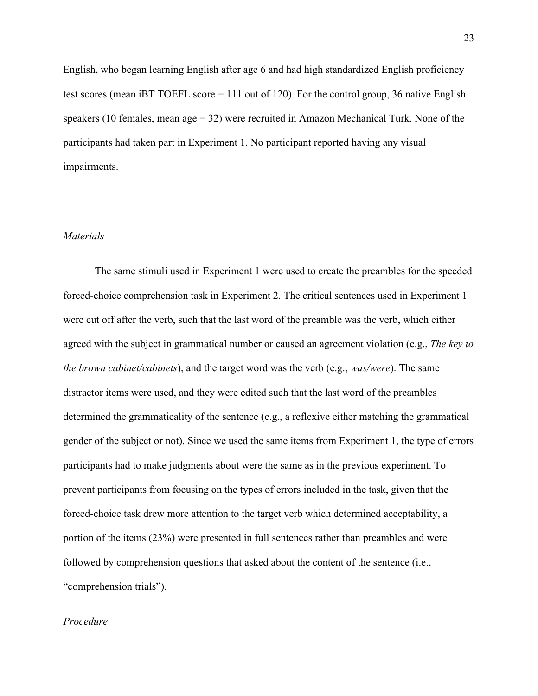English, who began learning English after age 6 and had high standardized English proficiency test scores (mean iBT TOEFL score  $= 111$  out of 120). For the control group, 36 native English speakers (10 females, mean age = 32) were recruited in Amazon Mechanical Turk. None of the participants had taken part in Experiment 1. No participant reported having any visual impairments.

### *Materials*

The same stimuli used in Experiment 1 were used to create the preambles for the speeded forced-choice comprehension task in Experiment 2. The critical sentences used in Experiment 1 were cut off after the verb, such that the last word of the preamble was the verb, which either agreed with the subject in grammatical number or caused an agreement violation (e.g., *The key to the brown cabinet/cabinets*), and the target word was the verb (e.g., *was/were*). The same distractor items were used, and they were edited such that the last word of the preambles determined the grammaticality of the sentence (e.g., a reflexive either matching the grammatical gender of the subject or not). Since we used the same items from Experiment 1, the type of errors participants had to make judgments about were the same as in the previous experiment. To prevent participants from focusing on the types of errors included in the task, given that the forced-choice task drew more attention to the target verb which determined acceptability, a portion of the items (23%) were presented in full sentences rather than preambles and were followed by comprehension questions that asked about the content of the sentence (i.e., "comprehension trials").

#### *Procedure*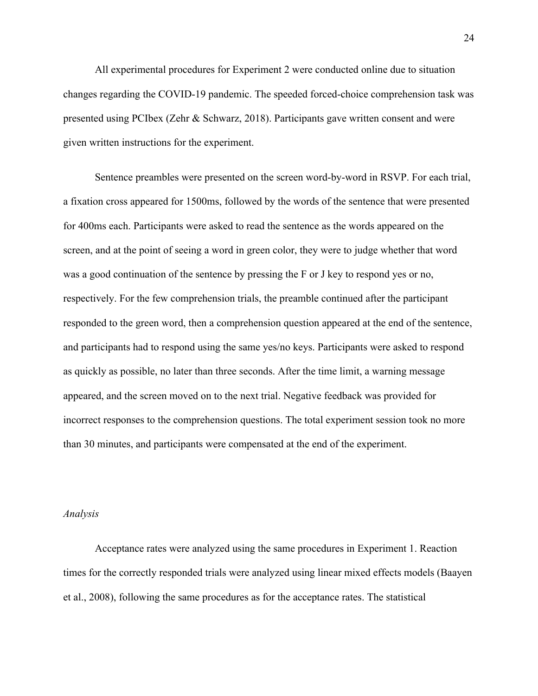All experimental procedures for Experiment 2 were conducted online due to situation changes regarding the COVID-19 pandemic. The speeded forced-choice comprehension task was presented using PCIbex (Zehr & Schwarz, 2018). Participants gave written consent and were given written instructions for the experiment.

 Sentence preambles were presented on the screen word-by-word in RSVP. For each trial, a fixation cross appeared for 1500ms, followed by the words of the sentence that were presented for 400ms each. Participants were asked to read the sentence as the words appeared on the screen, and at the point of seeing a word in green color, they were to judge whether that word was a good continuation of the sentence by pressing the F or J key to respond yes or no, respectively. For the few comprehension trials, the preamble continued after the participant responded to the green word, then a comprehension question appeared at the end of the sentence, and participants had to respond using the same yes/no keys. Participants were asked to respond as quickly as possible, no later than three seconds. After the time limit, a warning message appeared, and the screen moved on to the next trial. Negative feedback was provided for incorrect responses to the comprehension questions. The total experiment session took no more than 30 minutes, and participants were compensated at the end of the experiment.

#### *Analysis*

Acceptance rates were analyzed using the same procedures in Experiment 1. Reaction times for the correctly responded trials were analyzed using linear mixed effects models (Baayen et al., 2008), following the same procedures as for the acceptance rates. The statistical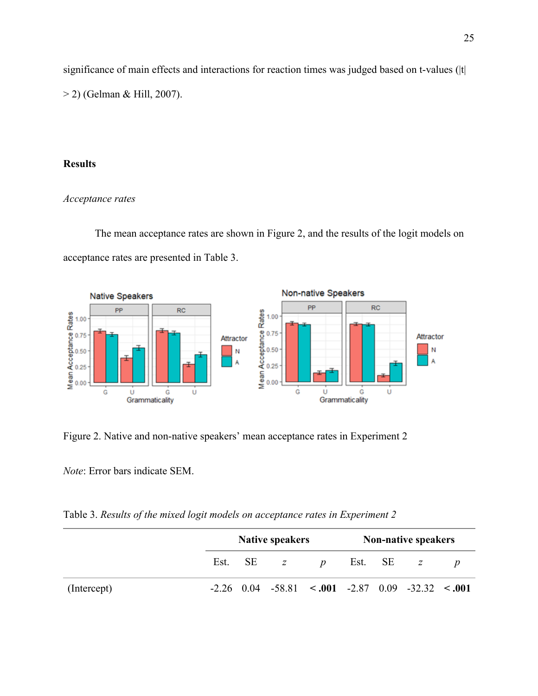significance of main effects and interactions for reaction times was judged based on t-values (|t| > 2) (Gelman & Hill, 2007).

## **Results**

# *Acceptance rates*

 The mean acceptance rates are shown in Figure 2, and the results of the logit models on acceptance rates are presented in Table 3.



Figure 2. Native and non-native speakers' mean acceptance rates in Experiment 2

*Note*: Error bars indicate SEM.

Table 3. *Results of the mixed logit models on acceptance rates in Experiment 2*

|             | <b>Native speakers</b> |         |                                                           |                  | <b>Non-native speakers</b> |  |             |  |
|-------------|------------------------|---------|-----------------------------------------------------------|------------------|----------------------------|--|-------------|--|
|             |                        | Est. SE | $Z$ and $Z$                                               | $\boldsymbol{D}$ |                            |  | Est. SE $z$ |  |
| (Intercept) |                        |         | $-2.26$ 0.04 $-58.81$ < 0.01 $-2.87$ 0.09 $-32.32$ < 0.01 |                  |                            |  |             |  |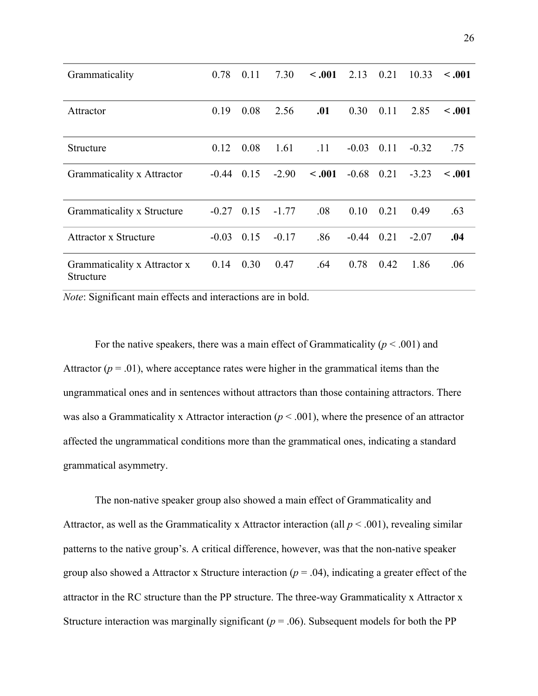| Grammaticality                            | 0.78    | 0.11 | 7.30    | $-.001$ | 2.13    | 0.21 | 10.33   | < .001      |
|-------------------------------------------|---------|------|---------|---------|---------|------|---------|-------------|
| Attractor                                 | 0.19    | 0.08 | 2.56    | .01     | 0.30    | 0.11 | 2.85    | < .001      |
| <b>Structure</b>                          | 0.12    | 0.08 | 1.61    | .11     | $-0.03$ | 0.11 | $-0.32$ | .75         |
| Grammaticality x Attractor                | $-0.44$ | 0.15 | $-2.90$ | $-.001$ | $-0.68$ | 0.21 | $-3.23$ | $\leq .001$ |
| Grammaticality x Structure                | $-0.27$ | 0.15 | $-1.77$ | .08     | 0.10    | 0.21 | 0.49    | .63         |
| <b>Attractor x Structure</b>              | $-0.03$ | 0.15 | $-0.17$ | .86     | $-0.44$ | 0.21 | $-2.07$ | .04         |
| Grammaticality x Attractor x<br>Structure | 0.14    | 0.30 | 0.47    | .64     | 0.78    | 0.42 | 1.86    | .06         |

*Note*: Significant main effects and interactions are in bold.

For the native speakers, there was a main effect of Grammaticality ( $p < .001$ ) and Attractor  $(p = .01)$ , where acceptance rates were higher in the grammatical items than the ungrammatical ones and in sentences without attractors than those containing attractors. There was also a Grammaticality x Attractor interaction ( $p < .001$ ), where the presence of an attractor affected the ungrammatical conditions more than the grammatical ones, indicating a standard grammatical asymmetry.

 The non-native speaker group also showed a main effect of Grammaticality and Attractor, as well as the Grammaticality x Attractor interaction (all  $p < .001$ ), revealing similar patterns to the native group's. A critical difference, however, was that the non-native speaker group also showed a Attractor x Structure interaction ( $p = .04$ ), indicating a greater effect of the attractor in the RC structure than the PP structure. The three-way Grammaticality x Attractor x Structure interaction was marginally significant ( $p = .06$ ). Subsequent models for both the PP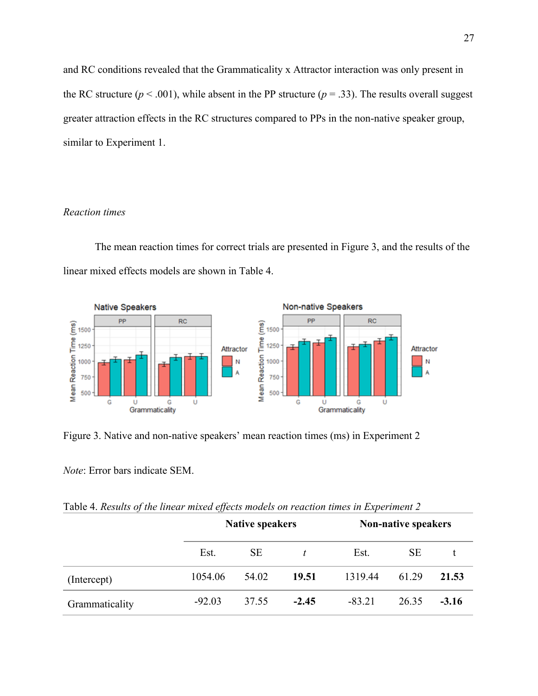and RC conditions revealed that the Grammaticality x Attractor interaction was only present in the RC structure ( $p < .001$ ), while absent in the PP structure ( $p = .33$ ). The results overall suggest greater attraction effects in the RC structures compared to PPs in the non-native speaker group, similar to Experiment 1.

### *Reaction times*

 The mean reaction times for correct trials are presented in Figure 3, and the results of the linear mixed effects models are shown in Table 4.



Figure 3. Native and non-native speakers' mean reaction times (ms) in Experiment 2

*Note*: Error bars indicate SEM.

Table 4. *Results of the linear mixed effects models on reaction times in Experiment 2*

|                |          | <b>Native speakers</b> |         | <b>Non-native speakers</b> |           |         |  |  |
|----------------|----------|------------------------|---------|----------------------------|-----------|---------|--|--|
|                | Est.     | <b>SE</b>              |         | Est.                       | <b>SE</b> |         |  |  |
| (Intercept)    | 1054.06  | 54.02                  | 19.51   | 1319.44                    | 61.29     | 21.53   |  |  |
| Grammaticality | $-92.03$ | 37.55                  | $-2.45$ | $-83.21$                   | 26.35     | $-3.16$ |  |  |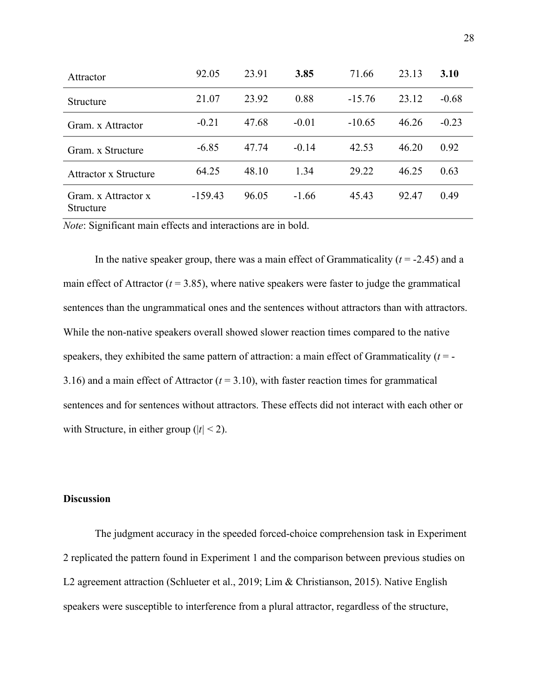| Attractor                               | 92.05     | 23.91 | 3.85    | 71.66    | 23.13 | 3.10    |
|-----------------------------------------|-----------|-------|---------|----------|-------|---------|
| <b>Structure</b>                        | 21.07     | 23.92 | 0.88    | $-15.76$ | 23.12 | $-0.68$ |
| Gram. x Attractor                       | $-0.21$   | 47.68 | $-0.01$ | $-10.65$ | 46.26 | $-0.23$ |
| Gram. x Structure                       | $-6.85$   | 47.74 | $-0.14$ | 42.53    | 46.20 | 0.92    |
| Attractor x Structure                   | 64.25     | 48.10 | 1.34    | 29.22    | 46.25 | 0.63    |
| Gram. x Attractor x<br><b>Structure</b> | $-159.43$ | 96.05 | $-1.66$ | 45.43    | 92.47 | 0.49    |

*Note*: Significant main effects and interactions are in bold.

 In the native speaker group, there was a main effect of Grammaticality (*t* = -2.45) and a main effect of Attractor  $(t = 3.85)$ , where native speakers were faster to judge the grammatical sentences than the ungrammatical ones and the sentences without attractors than with attractors. While the non-native speakers overall showed slower reaction times compared to the native speakers, they exhibited the same pattern of attraction: a main effect of Grammaticality (*t* = - 3.16) and a main effect of Attractor (*t* = 3.10), with faster reaction times for grammatical sentences and for sentences without attractors. These effects did not interact with each other or with Structure, in either group ( $|t|$  < 2).

### **Discussion**

 The judgment accuracy in the speeded forced-choice comprehension task in Experiment 2 replicated the pattern found in Experiment 1 and the comparison between previous studies on L2 agreement attraction (Schlueter et al., 2019; Lim & Christianson, 2015). Native English speakers were susceptible to interference from a plural attractor, regardless of the structure,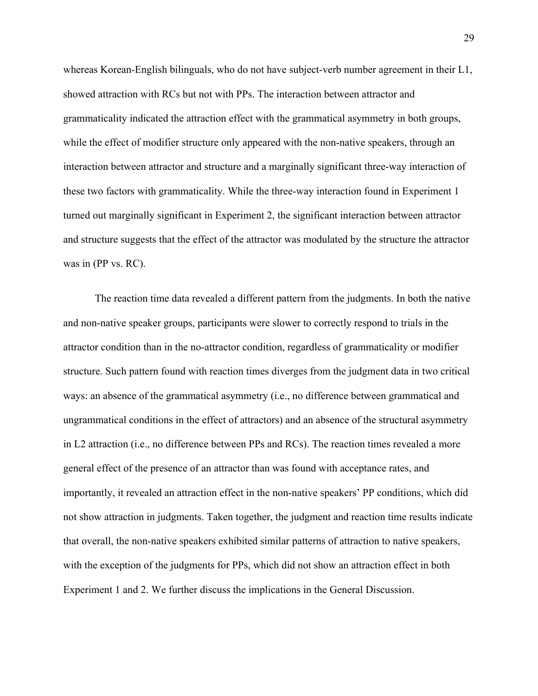whereas Korean-English bilinguals, who do not have subject-verb number agreement in their L1, showed attraction with RCs but not with PPs. The interaction between attractor and grammaticality indicated the attraction effect with the grammatical asymmetry in both groups, while the effect of modifier structure only appeared with the non-native speakers, through an interaction between attractor and structure and a marginally significant three-way interaction of these two factors with grammaticality. While the three-way interaction found in Experiment 1 turned out marginally significant in Experiment 2, the significant interaction between attractor and structure suggests that the effect of the attractor was modulated by the structure the attractor was in (PP vs. RC).

 The reaction time data revealed a different pattern from the judgments. In both the native and non-native speaker groups, participants were slower to correctly respond to trials in the attractor condition than in the no-attractor condition, regardless of grammaticality or modifier structure. Such pattern found with reaction times diverges from the judgment data in two critical ways: an absence of the grammatical asymmetry (i.e., no difference between grammatical and ungrammatical conditions in the effect of attractors) and an absence of the structural asymmetry in L2 attraction (i.e., no difference between PPs and RCs). The reaction times revealed a more general effect of the presence of an attractor than was found with acceptance rates, and importantly, it revealed an attraction effect in the non-native speakers' PP conditions, which did not show attraction in judgments. Taken together, the judgment and reaction time results indicate that overall, the non-native speakers exhibited similar patterns of attraction to native speakers, with the exception of the judgments for PPs, which did not show an attraction effect in both Experiment 1 and 2. We further discuss the implications in the General Discussion.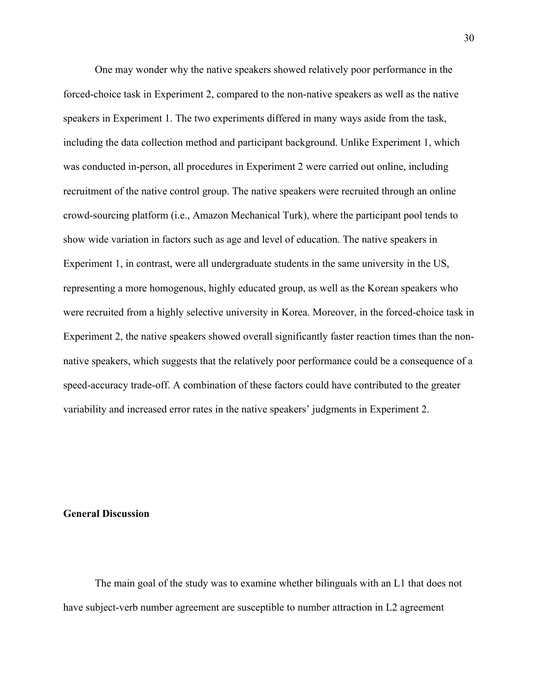One may wonder why the native speakers showed relatively poor performance in the forced-choice task in Experiment 2, compared to the non-native speakers as well as the native speakers in Experiment 1. The two experiments differed in many ways aside from the task, including the data collection method and participant background. Unlike Experiment 1, which was conducted in-person, all procedures in Experiment 2 were carried out online, including recruitment of the native control group. The native speakers were recruited through an online crowd-sourcing platform (i.e., Amazon Mechanical Turk), where the participant pool tends to show wide variation in factors such as age and level of education. The native speakers in Experiment 1, in contrast, were all undergraduate students in the same university in the US, representing a more homogenous, highly educated group, as well as the Korean speakers who were recruited from a highly selective university in Korea. Moreover, in the forced-choice task in Experiment 2, the native speakers showed overall significantly faster reaction times than the nonnative speakers, which suggests that the relatively poor performance could be a consequence of a speed-accuracy trade-off. A combination of these factors could have contributed to the greater variability and increased error rates in the native speakers' judgments in Experiment 2.

## **General Discussion**

 The main goal of the study was to examine whether bilinguals with an L1 that does not have subject-verb number agreement are susceptible to number attraction in L2 agreement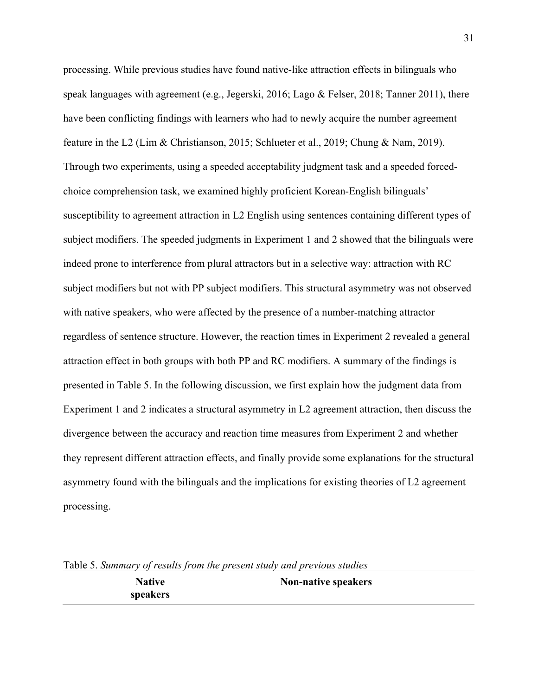processing. While previous studies have found native-like attraction effects in bilinguals who speak languages with agreement (e.g., Jegerski, 2016; Lago & Felser, 2018; Tanner 2011), there have been conflicting findings with learners who had to newly acquire the number agreement feature in the L2 (Lim & Christianson, 2015; Schlueter et al., 2019; Chung & Nam, 2019). Through two experiments, using a speeded acceptability judgment task and a speeded forcedchoice comprehension task, we examined highly proficient Korean-English bilinguals' susceptibility to agreement attraction in L2 English using sentences containing different types of subject modifiers. The speeded judgments in Experiment 1 and 2 showed that the bilinguals were indeed prone to interference from plural attractors but in a selective way: attraction with RC subject modifiers but not with PP subject modifiers. This structural asymmetry was not observed with native speakers, who were affected by the presence of a number-matching attractor regardless of sentence structure. However, the reaction times in Experiment 2 revealed a general attraction effect in both groups with both PP and RC modifiers. A summary of the findings is presented in Table 5. In the following discussion, we first explain how the judgment data from Experiment 1 and 2 indicates a structural asymmetry in L2 agreement attraction, then discuss the divergence between the accuracy and reaction time measures from Experiment 2 and whether they represent different attraction effects, and finally provide some explanations for the structural asymmetry found with the bilinguals and the implications for existing theories of L2 agreement processing.

**Native speakers Non-native speakers**

Table 5. *Summary of results from the present study and previous studies*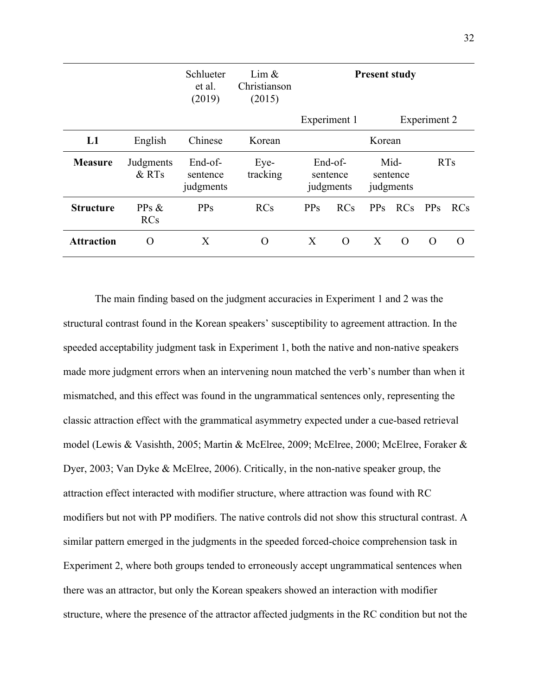|                   |                     | Schlueter<br>et al.<br>(2019)    | Lim $\&$<br>Christianson<br>(2015) | <b>Present study</b>             |            |                               |            |                 |            |
|-------------------|---------------------|----------------------------------|------------------------------------|----------------------------------|------------|-------------------------------|------------|-----------------|------------|
|                   |                     |                                  |                                    | Experiment 1                     |            |                               |            | Experiment 2    |            |
| L1                | English             | Chinese                          | Korean                             | Korean                           |            |                               |            |                 |            |
| <b>Measure</b>    | Judgments<br>& RTs  | End-of-<br>sentence<br>judgments | Eye-<br>tracking                   | End-of-<br>sentence<br>judgments |            | Mid-<br>sentence<br>judgments |            |                 | <b>RTs</b> |
| <b>Structure</b>  | PPs &<br><b>RCs</b> | <b>PPs</b>                       | RCs                                | <b>PPs</b>                       | <b>RCs</b> | PP <sub>S</sub>               | <b>RCs</b> | PP <sub>S</sub> | RCs        |
| <b>Attraction</b> | $\Omega$            | X                                | O                                  | X                                | $\Omega$   | X                             | $\Omega$   | $\Omega$        | $\Omega$   |

 The main finding based on the judgment accuracies in Experiment 1 and 2 was the structural contrast found in the Korean speakers' susceptibility to agreement attraction. In the speeded acceptability judgment task in Experiment 1, both the native and non-native speakers made more judgment errors when an intervening noun matched the verb's number than when it mismatched, and this effect was found in the ungrammatical sentences only, representing the classic attraction effect with the grammatical asymmetry expected under a cue-based retrieval model (Lewis & Vasishth, 2005; Martin & McElree, 2009; McElree, 2000; McElree, Foraker & Dyer, 2003; Van Dyke & McElree, 2006). Critically, in the non-native speaker group, the attraction effect interacted with modifier structure, where attraction was found with RC modifiers but not with PP modifiers. The native controls did not show this structural contrast. A similar pattern emerged in the judgments in the speeded forced-choice comprehension task in Experiment 2, where both groups tended to erroneously accept ungrammatical sentences when there was an attractor, but only the Korean speakers showed an interaction with modifier structure, where the presence of the attractor affected judgments in the RC condition but not the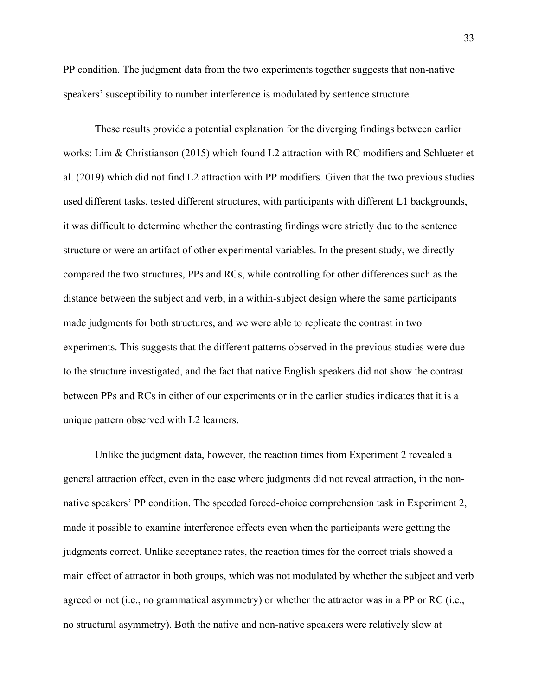PP condition. The judgment data from the two experiments together suggests that non-native speakers' susceptibility to number interference is modulated by sentence structure.

 These results provide a potential explanation for the diverging findings between earlier works: Lim & Christianson (2015) which found L2 attraction with RC modifiers and Schlueter et al. (2019) which did not find L2 attraction with PP modifiers. Given that the two previous studies used different tasks, tested different structures, with participants with different L1 backgrounds, it was difficult to determine whether the contrasting findings were strictly due to the sentence structure or were an artifact of other experimental variables. In the present study, we directly compared the two structures, PPs and RCs, while controlling for other differences such as the distance between the subject and verb, in a within-subject design where the same participants made judgments for both structures, and we were able to replicate the contrast in two experiments. This suggests that the different patterns observed in the previous studies were due to the structure investigated, and the fact that native English speakers did not show the contrast between PPs and RCs in either of our experiments or in the earlier studies indicates that it is a unique pattern observed with L2 learners.

 Unlike the judgment data, however, the reaction times from Experiment 2 revealed a general attraction effect, even in the case where judgments did not reveal attraction, in the nonnative speakers' PP condition. The speeded forced-choice comprehension task in Experiment 2, made it possible to examine interference effects even when the participants were getting the judgments correct. Unlike acceptance rates, the reaction times for the correct trials showed a main effect of attractor in both groups, which was not modulated by whether the subject and verb agreed or not (i.e., no grammatical asymmetry) or whether the attractor was in a PP or RC (i.e., no structural asymmetry). Both the native and non-native speakers were relatively slow at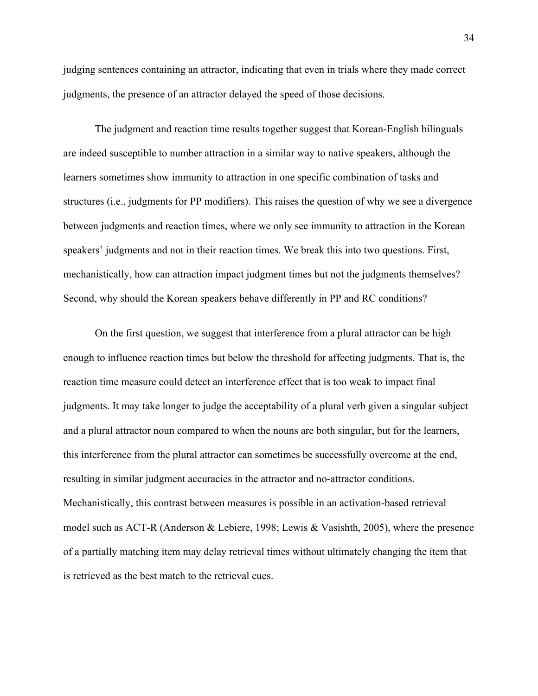judging sentences containing an attractor, indicating that even in trials where they made correct judgments, the presence of an attractor delayed the speed of those decisions.

 The judgment and reaction time results together suggest that Korean-English bilinguals are indeed susceptible to number attraction in a similar way to native speakers, although the learners sometimes show immunity to attraction in one specific combination of tasks and structures (i.e., judgments for PP modifiers). This raises the question of why we see a divergence between judgments and reaction times, where we only see immunity to attraction in the Korean speakers' judgments and not in their reaction times. We break this into two questions. First, mechanistically, how can attraction impact judgment times but not the judgments themselves? Second, why should the Korean speakers behave differently in PP and RC conditions?

On the first question, we suggest that interference from a plural attractor can be high enough to influence reaction times but below the threshold for affecting judgments. That is, the reaction time measure could detect an interference effect that is too weak to impact final judgments. It may take longer to judge the acceptability of a plural verb given a singular subject and a plural attractor noun compared to when the nouns are both singular, but for the learners, this interference from the plural attractor can sometimes be successfully overcome at the end, resulting in similar judgment accuracies in the attractor and no-attractor conditions. Mechanistically, this contrast between measures is possible in an activation-based retrieval model such as ACT-R (Anderson & Lebiere, 1998; Lewis & Vasishth, 2005), where the presence of a partially matching item may delay retrieval times without ultimately changing the item that is retrieved as the best match to the retrieval cues.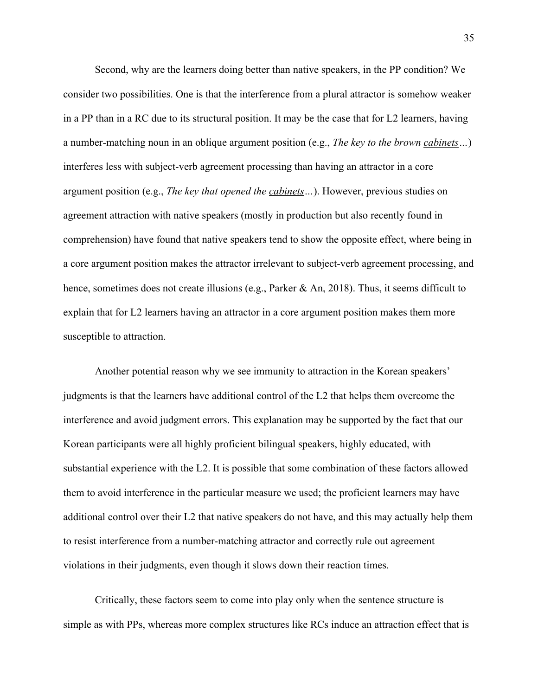Second, why are the learners doing better than native speakers, in the PP condition? We consider two possibilities. One is that the interference from a plural attractor is somehow weaker in a PP than in a RC due to its structural position. It may be the case that for L2 learners, having a number-matching noun in an oblique argument position (e.g., *The key to the brown cabinets…*) interferes less with subject-verb agreement processing than having an attractor in a core argument position (e.g., *The key that opened the cabinets…*). However, previous studies on agreement attraction with native speakers (mostly in production but also recently found in comprehension) have found that native speakers tend to show the opposite effect, where being in a core argument position makes the attractor irrelevant to subject-verb agreement processing, and hence, sometimes does not create illusions (e.g., Parker & An, 2018). Thus, it seems difficult to explain that for L2 learners having an attractor in a core argument position makes them more susceptible to attraction.

Another potential reason why we see immunity to attraction in the Korean speakers' judgments is that the learners have additional control of the L2 that helps them overcome the interference and avoid judgment errors. This explanation may be supported by the fact that our Korean participants were all highly proficient bilingual speakers, highly educated, with substantial experience with the L2. It is possible that some combination of these factors allowed them to avoid interference in the particular measure we used; the proficient learners may have additional control over their L2 that native speakers do not have, and this may actually help them to resist interference from a number-matching attractor and correctly rule out agreement violations in their judgments, even though it slows down their reaction times.

Critically, these factors seem to come into play only when the sentence structure is simple as with PPs, whereas more complex structures like RCs induce an attraction effect that is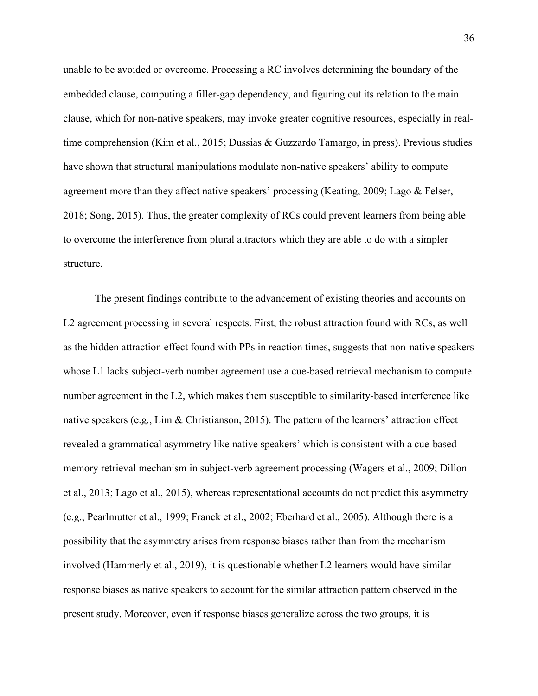unable to be avoided or overcome. Processing a RC involves determining the boundary of the embedded clause, computing a filler-gap dependency, and figuring out its relation to the main clause, which for non-native speakers, may invoke greater cognitive resources, especially in realtime comprehension (Kim et al., 2015; Dussias & Guzzardo Tamargo, in press). Previous studies have shown that structural manipulations modulate non-native speakers' ability to compute agreement more than they affect native speakers' processing (Keating, 2009; Lago & Felser, 2018; Song, 2015). Thus, the greater complexity of RCs could prevent learners from being able to overcome the interference from plural attractors which they are able to do with a simpler structure.

 The present findings contribute to the advancement of existing theories and accounts on L2 agreement processing in several respects. First, the robust attraction found with RCs, as well as the hidden attraction effect found with PPs in reaction times, suggests that non-native speakers whose L1 lacks subject-verb number agreement use a cue-based retrieval mechanism to compute number agreement in the L2, which makes them susceptible to similarity-based interference like native speakers (e.g., Lim & Christianson, 2015). The pattern of the learners' attraction effect revealed a grammatical asymmetry like native speakers' which is consistent with a cue-based memory retrieval mechanism in subject-verb agreement processing (Wagers et al., 2009; Dillon et al., 2013; Lago et al., 2015), whereas representational accounts do not predict this asymmetry (e.g., Pearlmutter et al., 1999; Franck et al., 2002; Eberhard et al., 2005). Although there is a possibility that the asymmetry arises from response biases rather than from the mechanism involved (Hammerly et al., 2019), it is questionable whether L2 learners would have similar response biases as native speakers to account for the similar attraction pattern observed in the present study. Moreover, even if response biases generalize across the two groups, it is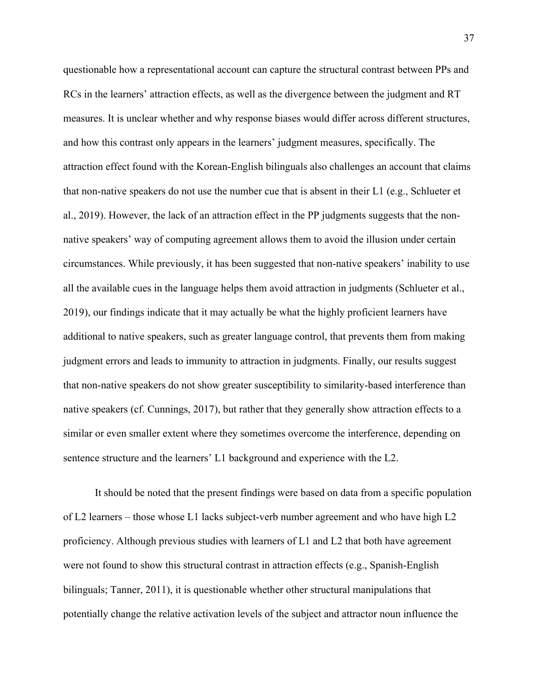questionable how a representational account can capture the structural contrast between PPs and RCs in the learners' attraction effects, as well as the divergence between the judgment and RT measures. It is unclear whether and why response biases would differ across different structures, and how this contrast only appears in the learners' judgment measures, specifically. The attraction effect found with the Korean-English bilinguals also challenges an account that claims that non-native speakers do not use the number cue that is absent in their L1 (e.g., Schlueter et al., 2019). However, the lack of an attraction effect in the PP judgments suggests that the nonnative speakers' way of computing agreement allows them to avoid the illusion under certain circumstances. While previously, it has been suggested that non-native speakers' inability to use all the available cues in the language helps them avoid attraction in judgments (Schlueter et al., 2019), our findings indicate that it may actually be what the highly proficient learners have additional to native speakers, such as greater language control, that prevents them from making judgment errors and leads to immunity to attraction in judgments. Finally, our results suggest that non-native speakers do not show greater susceptibility to similarity-based interference than native speakers (cf. Cunnings, 2017), but rather that they generally show attraction effects to a similar or even smaller extent where they sometimes overcome the interference, depending on sentence structure and the learners' L1 background and experience with the L2.

 It should be noted that the present findings were based on data from a specific population of L2 learners – those whose L1 lacks subject-verb number agreement and who have high L2 proficiency. Although previous studies with learners of L1 and L2 that both have agreement were not found to show this structural contrast in attraction effects (e.g., Spanish-English bilinguals; Tanner, 2011), it is questionable whether other structural manipulations that potentially change the relative activation levels of the subject and attractor noun influence the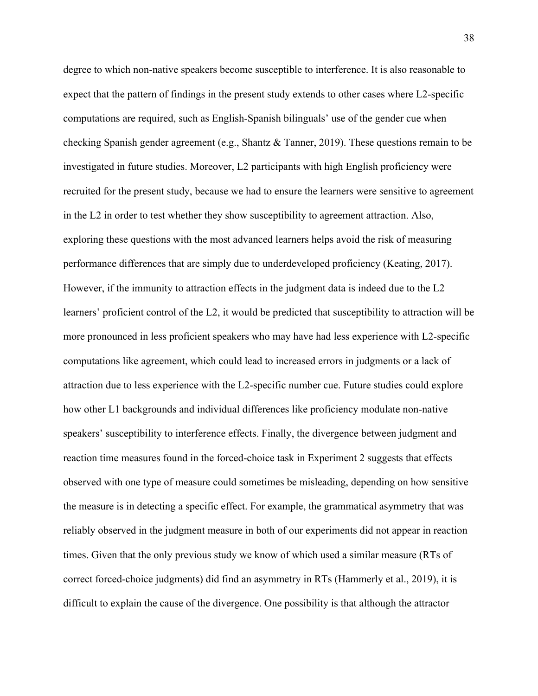degree to which non-native speakers become susceptible to interference. It is also reasonable to expect that the pattern of findings in the present study extends to other cases where L2-specific computations are required, such as English-Spanish bilinguals' use of the gender cue when checking Spanish gender agreement (e.g., Shantz & Tanner, 2019). These questions remain to be investigated in future studies. Moreover, L2 participants with high English proficiency were recruited for the present study, because we had to ensure the learners were sensitive to agreement in the L2 in order to test whether they show susceptibility to agreement attraction. Also, exploring these questions with the most advanced learners helps avoid the risk of measuring performance differences that are simply due to underdeveloped proficiency (Keating, 2017). However, if the immunity to attraction effects in the judgment data is indeed due to the L2 learners' proficient control of the L2, it would be predicted that susceptibility to attraction will be more pronounced in less proficient speakers who may have had less experience with L2-specific computations like agreement, which could lead to increased errors in judgments or a lack of attraction due to less experience with the L2-specific number cue. Future studies could explore how other L1 backgrounds and individual differences like proficiency modulate non-native speakers' susceptibility to interference effects. Finally, the divergence between judgment and reaction time measures found in the forced-choice task in Experiment 2 suggests that effects observed with one type of measure could sometimes be misleading, depending on how sensitive the measure is in detecting a specific effect. For example, the grammatical asymmetry that was reliably observed in the judgment measure in both of our experiments did not appear in reaction times. Given that the only previous study we know of which used a similar measure (RTs of correct forced-choice judgments) did find an asymmetry in RTs (Hammerly et al., 2019), it is difficult to explain the cause of the divergence. One possibility is that although the attractor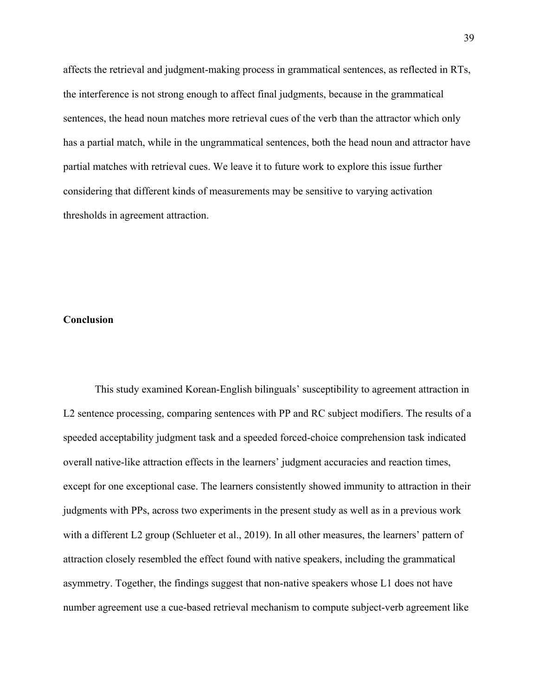affects the retrieval and judgment-making process in grammatical sentences, as reflected in RTs, the interference is not strong enough to affect final judgments, because in the grammatical sentences, the head noun matches more retrieval cues of the verb than the attractor which only has a partial match, while in the ungrammatical sentences, both the head noun and attractor have partial matches with retrieval cues. We leave it to future work to explore this issue further considering that different kinds of measurements may be sensitive to varying activation thresholds in agreement attraction.

### **Conclusion**

This study examined Korean-English bilinguals' susceptibility to agreement attraction in L2 sentence processing, comparing sentences with PP and RC subject modifiers. The results of a speeded acceptability judgment task and a speeded forced-choice comprehension task indicated overall native-like attraction effects in the learners' judgment accuracies and reaction times, except for one exceptional case. The learners consistently showed immunity to attraction in their judgments with PPs, across two experiments in the present study as well as in a previous work with a different L2 group (Schlueter et al., 2019). In all other measures, the learners' pattern of attraction closely resembled the effect found with native speakers, including the grammatical asymmetry. Together, the findings suggest that non-native speakers whose L1 does not have number agreement use a cue-based retrieval mechanism to compute subject-verb agreement like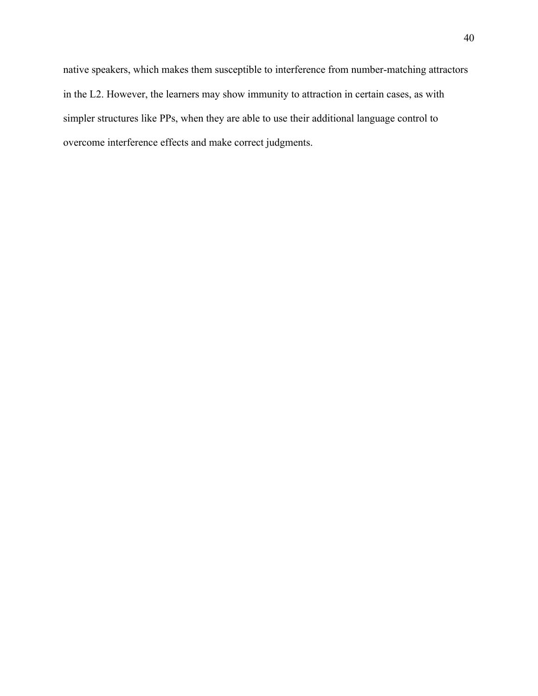native speakers, which makes them susceptible to interference from number-matching attractors in the L2. However, the learners may show immunity to attraction in certain cases, as with simpler structures like PPs, when they are able to use their additional language control to overcome interference effects and make correct judgments.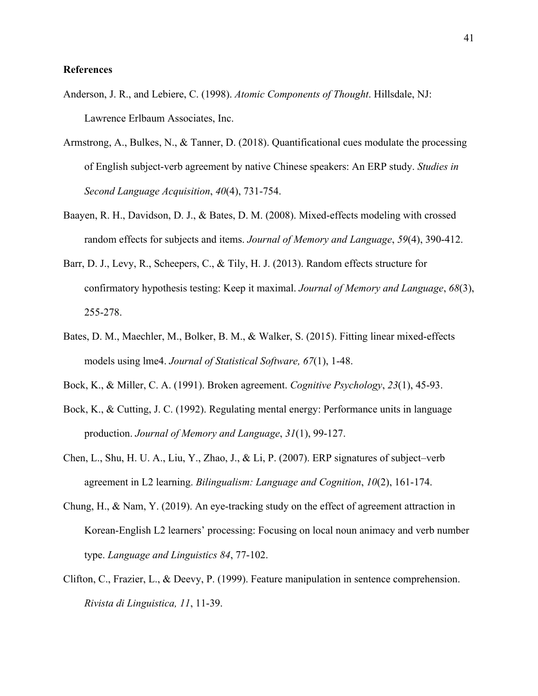### **References**

- Anderson, J. R., and Lebiere, C. (1998). *Atomic Components of Thought*. Hillsdale, NJ: Lawrence Erlbaum Associates, Inc.
- Armstrong, A., Bulkes, N., & Tanner, D. (2018). Quantificational cues modulate the processing of English subject-verb agreement by native Chinese speakers: An ERP study. *Studies in Second Language Acquisition*, *40*(4), 731-754.
- Baayen, R. H., Davidson, D. J., & Bates, D. M. (2008). Mixed-effects modeling with crossed random effects for subjects and items. *Journal of Memory and Language*, *59*(4), 390-412.
- Barr, D. J., Levy, R., Scheepers, C., & Tily, H. J. (2013). Random effects structure for confirmatory hypothesis testing: Keep it maximal. *Journal of Memory and Language*, *68*(3), 255-278.
- Bates, D. M., Maechler, M., Bolker, B. M., & Walker, S. (2015). Fitting linear mixed‐effects models using lme4. *Journal of Statistical Software, 67*(1), 1-48.
- Bock, K., & Miller, C. A. (1991). Broken agreement. *Cognitive Psychology*, *23*(1), 45-93.
- Bock, K., & Cutting, J. C. (1992). Regulating mental energy: Performance units in language production. *Journal of Memory and Language*, *31*(1), 99-127.
- Chen, L., Shu, H. U. A., Liu, Y., Zhao, J., & Li, P. (2007). ERP signatures of subject–verb agreement in L2 learning. *Bilingualism: Language and Cognition*, *10*(2), 161-174.
- Chung, H., & Nam, Y. (2019). An eye-tracking study on the effect of agreement attraction in Korean-English L2 learners' processing: Focusing on local noun animacy and verb number type. *Language and Linguistics 84*, 77-102.
- Clifton, C., Frazier, L., & Deevy, P. (1999). Feature manipulation in sentence comprehension. *Rivista di Linguistica, 11*, 11-39.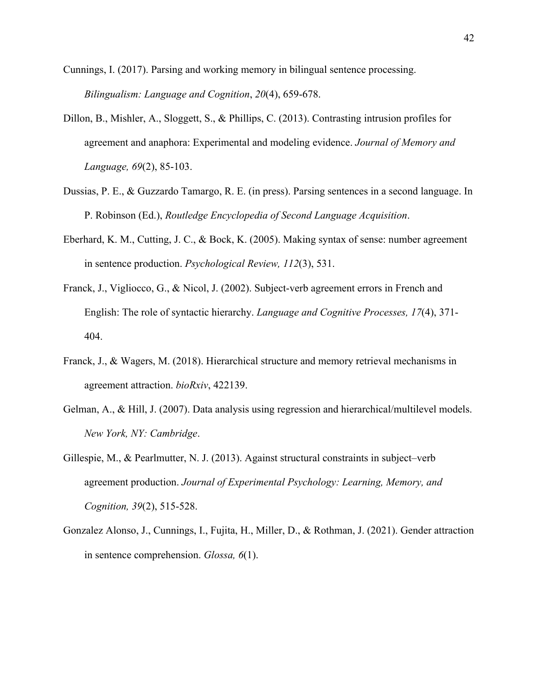Cunnings, I. (2017). Parsing and working memory in bilingual sentence processing. *Bilingualism: Language and Cognition*, *20*(4), 659-678.

- Dillon, B., Mishler, A., Sloggett, S., & Phillips, C. (2013). Contrasting intrusion profiles for agreement and anaphora: Experimental and modeling evidence. *Journal of Memory and Language, 69*(2), 85-103.
- Dussias, P. E., & Guzzardo Tamargo, R. E. (in press). Parsing sentences in a second language. In P. Robinson (Ed.), *Routledge Encyclopedia of Second Language Acquisition*.
- Eberhard, K. M., Cutting, J. C., & Bock, K. (2005). Making syntax of sense: number agreement in sentence production. *Psychological Review, 112*(3), 531.
- Franck, J., Vigliocco, G., & Nicol, J. (2002). Subject-verb agreement errors in French and English: The role of syntactic hierarchy. *Language and Cognitive Processes, 17*(4), 371- 404.
- Franck, J., & Wagers, M. (2018). Hierarchical structure and memory retrieval mechanisms in agreement attraction. *bioRxiv*, 422139.
- Gelman, A., & Hill, J. (2007). Data analysis using regression and hierarchical/multilevel models. *New York, NY: Cambridge*.
- Gillespie, M., & Pearlmutter, N. J. (2013). Against structural constraints in subject–verb agreement production. *Journal of Experimental Psychology: Learning, Memory, and Cognition, 39*(2), 515-528.
- Gonzalez Alonso, J., Cunnings, I., Fujita, H., Miller, D., & Rothman, J. (2021). Gender attraction in sentence comprehension. *Glossa, 6*(1).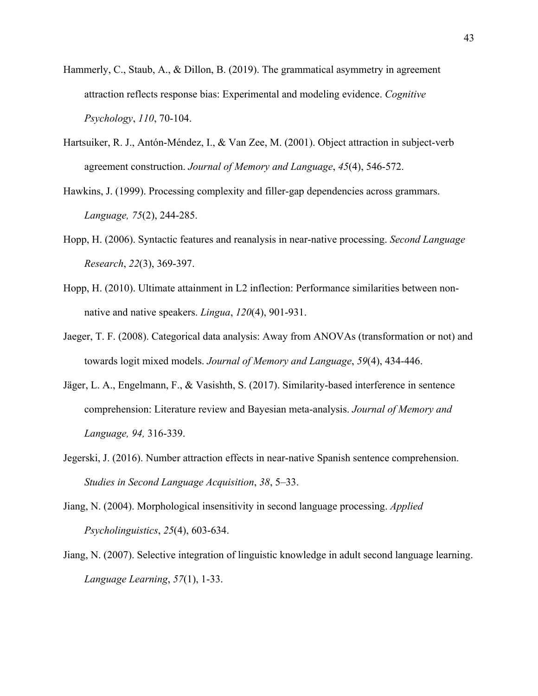- Hammerly, C., Staub, A., & Dillon, B. (2019). The grammatical asymmetry in agreement attraction reflects response bias: Experimental and modeling evidence. *Cognitive Psychology*, *110*, 70-104.
- Hartsuiker, R. J., Antón-Méndez, I., & Van Zee, M. (2001). Object attraction in subject-verb agreement construction. *Journal of Memory and Language*, *45*(4), 546-572.
- Hawkins, J. (1999). Processing complexity and filler-gap dependencies across grammars. *Language, 75*(2), 244-285.
- Hopp, H. (2006). Syntactic features and reanalysis in near-native processing. *Second Language Research*, *22*(3), 369-397.
- Hopp, H. (2010). Ultimate attainment in L2 inflection: Performance similarities between nonnative and native speakers. *Lingua*, *120*(4), 901-931.
- Jaeger, T. F. (2008). Categorical data analysis: Away from ANOVAs (transformation or not) and towards logit mixed models. *Journal of Memory and Language*, *59*(4), 434-446.
- Jäger, L. A., Engelmann, F., & Vasishth, S. (2017). Similarity-based interference in sentence comprehension: Literature review and Bayesian meta-analysis. *Journal of Memory and Language, 94,* 316-339.
- Jegerski, J. (2016). Number attraction effects in near-native Spanish sentence comprehension. *Studies in Second Language Acquisition*, *38*, 5–33.
- Jiang, N. (2004). Morphological insensitivity in second language processing. *Applied Psycholinguistics*, *25*(4), 603-634.
- Jiang, N. (2007). Selective integration of linguistic knowledge in adult second language learning. *Language Learning*, *57*(1), 1-33.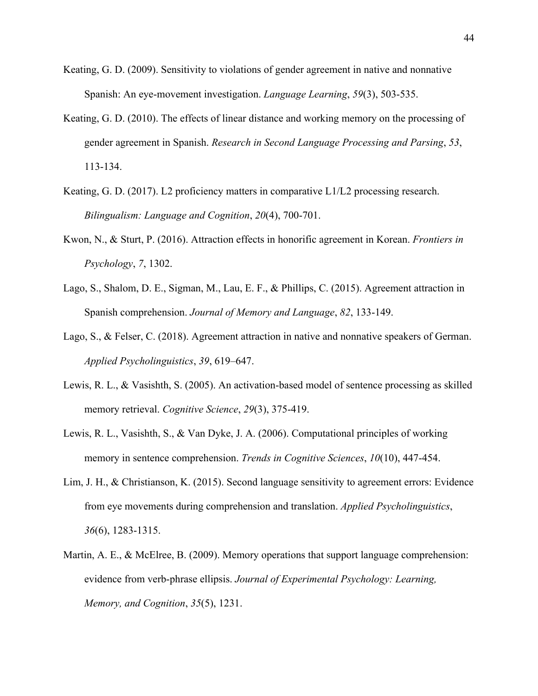- Keating, G. D. (2009). Sensitivity to violations of gender agreement in native and nonnative Spanish: An eye‐movement investigation. *Language Learning*, *59*(3), 503-535.
- Keating, G. D. (2010). The effects of linear distance and working memory on the processing of gender agreement in Spanish. *Research in Second Language Processing and Parsing*, *53*, 113-134.
- Keating, G. D. (2017). L2 proficiency matters in comparative L1/L2 processing research. *Bilingualism: Language and Cognition*, *20*(4), 700-701.
- Kwon, N., & Sturt, P. (2016). Attraction effects in honorific agreement in Korean. *Frontiers in Psychology*, *7*, 1302.
- Lago, S., Shalom, D. E., Sigman, M., Lau, E. F., & Phillips, C. (2015). Agreement attraction in Spanish comprehension. *Journal of Memory and Language*, *82*, 133-149.
- Lago, S., & Felser, C. (2018). Agreement attraction in native and nonnative speakers of German. *Applied Psycholinguistics*, *39*, 619–647.
- Lewis, R. L., & Vasishth, S. (2005). An activation‐based model of sentence processing as skilled memory retrieval. *Cognitive Science*, *29*(3), 375-419.
- Lewis, R. L., Vasishth, S., & Van Dyke, J. A. (2006). Computational principles of working memory in sentence comprehension. *Trends in Cognitive Sciences*, *10*(10), 447-454.
- Lim, J. H., & Christianson, K. (2015). Second language sensitivity to agreement errors: Evidence from eye movements during comprehension and translation. *Applied Psycholinguistics*, *36*(6), 1283-1315.
- Martin, A. E., & McElree, B. (2009). Memory operations that support language comprehension: evidence from verb-phrase ellipsis. *Journal of Experimental Psychology: Learning, Memory, and Cognition*, *35*(5), 1231.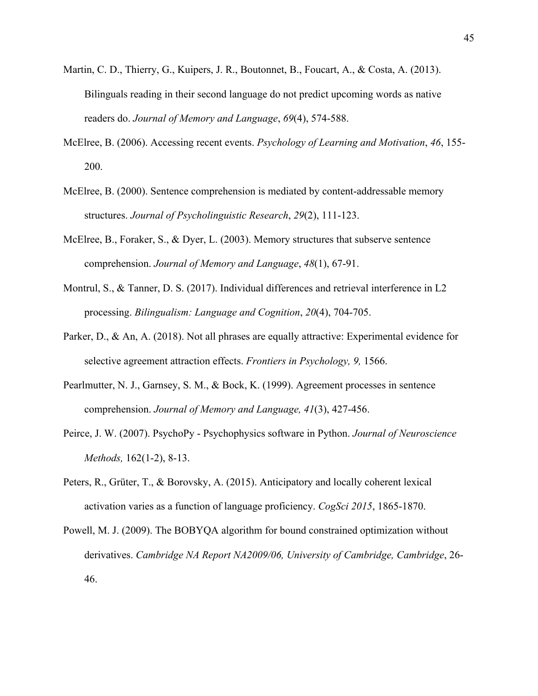- Martin, C. D., Thierry, G., Kuipers, J. R., Boutonnet, B., Foucart, A., & Costa, A. (2013). Bilinguals reading in their second language do not predict upcoming words as native readers do. *Journal of Memory and Language*, *69*(4), 574-588.
- McElree, B. (2006). Accessing recent events. *Psychology of Learning and Motivation*, *46*, 155- 200.
- McElree, B. (2000). Sentence comprehension is mediated by content-addressable memory structures. *Journal of Psycholinguistic Research*, *29*(2), 111-123.
- McElree, B., Foraker, S., & Dyer, L. (2003). Memory structures that subserve sentence comprehension. *Journal of Memory and Language*, *48*(1), 67-91.
- Montrul, S., & Tanner, D. S. (2017). Individual differences and retrieval interference in L2 processing. *Bilingualism: Language and Cognition*, *20*(4), 704-705.
- Parker, D., & An, A. (2018). Not all phrases are equally attractive: Experimental evidence for selective agreement attraction effects. *Frontiers in Psychology, 9,* 1566.
- Pearlmutter, N. J., Garnsey, S. M., & Bock, K. (1999). Agreement processes in sentence comprehension. *Journal of Memory and Language, 41*(3), 427-456.
- Peirce, J. W. (2007). PsychoPy Psychophysics software in Python. *Journal of Neuroscience Methods,* 162(1-2), 8-13.
- Peters, R., Grüter, T., & Borovsky, A. (2015). Anticipatory and locally coherent lexical activation varies as a function of language proficiency. *CogSci 2015*, 1865-1870.
- Powell, M. J. (2009). The BOBYQA algorithm for bound constrained optimization without derivatives. *Cambridge NA Report NA2009/06, University of Cambridge, Cambridge*, 26- 46.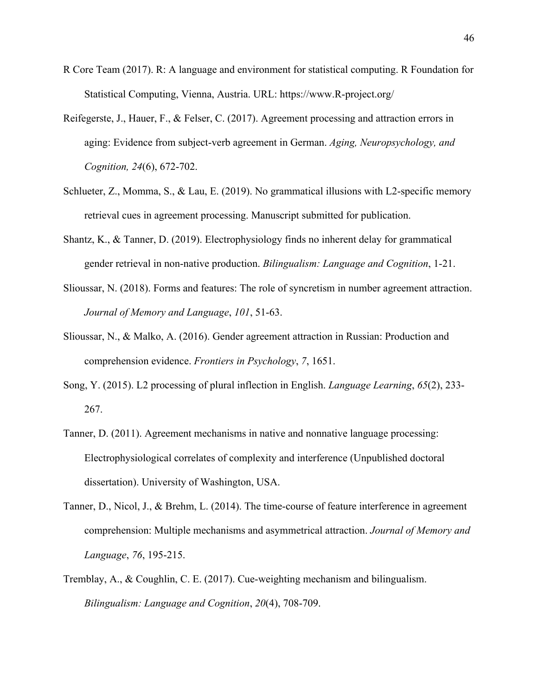- R Core Team (2017). R: A language and environment for statistical computing. R Foundation for Statistical Computing, Vienna, Austria. URL: https://www.R-project.org/
- Reifegerste, J., Hauer, F., & Felser, C. (2017). Agreement processing and attraction errors in aging: Evidence from subject-verb agreement in German. *Aging, Neuropsychology, and Cognition, 24*(6), 672-702.
- Schlueter, Z., Momma, S., & Lau, E. (2019). No grammatical illusions with L2-specific memory retrieval cues in agreement processing. Manuscript submitted for publication.
- Shantz, K., & Tanner, D. (2019). Electrophysiology finds no inherent delay for grammatical gender retrieval in non-native production. *Bilingualism: Language and Cognition*, 1-21.
- Slioussar, N. (2018). Forms and features: The role of syncretism in number agreement attraction. *Journal of Memory and Language*, *101*, 51-63.
- Slioussar, N., & Malko, A. (2016). Gender agreement attraction in Russian: Production and comprehension evidence. *Frontiers in Psychology*, *7*, 1651.
- Song, Y. (2015). L2 processing of plural inflection in English. *Language Learning*, *65*(2), 233- 267.
- Tanner, D. (2011). Agreement mechanisms in native and nonnative language processing: Electrophysiological correlates of complexity and interference (Unpublished doctoral dissertation). University of Washington, USA.
- Tanner, D., Nicol, J., & Brehm, L. (2014). The time-course of feature interference in agreement comprehension: Multiple mechanisms and asymmetrical attraction. *Journal of Memory and Language*, *76*, 195-215.
- Tremblay, A., & Coughlin, C. E. (2017). Cue-weighting mechanism and bilingualism. *Bilingualism: Language and Cognition*, *20*(4), 708-709.